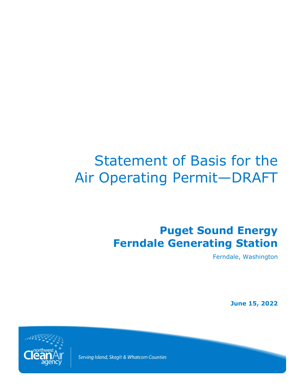# Statement of Basis for the Air Operating Permit—DRAFT

## **Puget Sound Energy Ferndale Generating Station**

Ferndale, Washington

**June 15, 2022**



Serving Island, Skagit & Whatcom Counties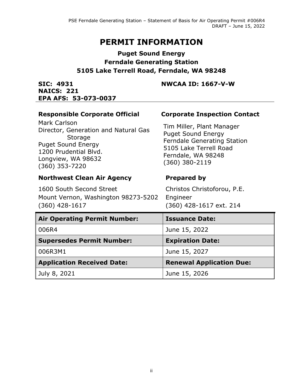## **PERMIT INFORMATION**

## **Puget Sound Energy Ferndale Generating Station 5105 Lake Terrell Road, Ferndale, WA 98248**

**SIC: 4931 NAICS: 221**

## **NWCAA ID: 1667-V-W**

| EPA AFS: 53-073-0037                                                                                                                                                                                                   |                                                                                                                                                                                                       |  |  |  |
|------------------------------------------------------------------------------------------------------------------------------------------------------------------------------------------------------------------------|-------------------------------------------------------------------------------------------------------------------------------------------------------------------------------------------------------|--|--|--|
| <b>Responsible Corporate Official</b><br><b>Mark Carlson</b><br>Director, Generation and Natural Gas<br><b>Storage</b><br><b>Puget Sound Energy</b><br>1200 Prudential Blvd.<br>Longview, WA 98632<br>$(360)$ 353-7220 | <b>Corporate Inspection Contact</b><br>Tim Miller, Plant Manager<br><b>Puget Sound Energy</b><br><b>Ferndale Generating Station</b><br>5105 Lake Terrell Road<br>Ferndale, WA 98248<br>(360) 380-2119 |  |  |  |
| <b>Northwest Clean Air Agency</b>                                                                                                                                                                                      | <b>Prepared by</b>                                                                                                                                                                                    |  |  |  |
| 1600 South Second Street<br>Mount Vernon, Washington 98273-5202<br>$(360)$ 428-1617                                                                                                                                    | Christos Christoforou, P.E.<br>Engineer<br>(360) 428-1617 ext. 214                                                                                                                                    |  |  |  |
| <b>Air Operating Permit Number:</b>                                                                                                                                                                                    | <b>Issuance Date:</b>                                                                                                                                                                                 |  |  |  |
| 006R4                                                                                                                                                                                                                  | June 15, 2022                                                                                                                                                                                         |  |  |  |
| <b>Supersedes Permit Number:</b>                                                                                                                                                                                       | <b>Expiration Date:</b>                                                                                                                                                                               |  |  |  |
| 006R3M1                                                                                                                                                                                                                | June 15, 2027                                                                                                                                                                                         |  |  |  |
| <b>Application Received Date:</b>                                                                                                                                                                                      | <b>Renewal Application Due:</b>                                                                                                                                                                       |  |  |  |
| July 8, 2021                                                                                                                                                                                                           | June 15, 2026                                                                                                                                                                                         |  |  |  |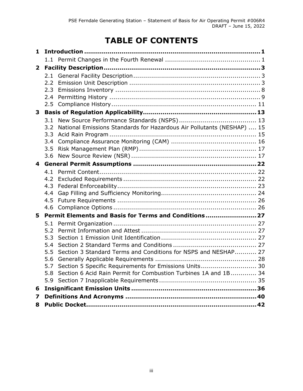## **TABLE OF CONTENTS**

| 1            |               |                                                                        |  |
|--------------|---------------|------------------------------------------------------------------------|--|
|              |               |                                                                        |  |
| $\mathbf{2}$ |               |                                                                        |  |
|              |               |                                                                        |  |
|              | $2.2^{\circ}$ |                                                                        |  |
|              | 2.3           |                                                                        |  |
|              | 2.4           |                                                                        |  |
|              | $2.5^{\circ}$ |                                                                        |  |
| 3            |               |                                                                        |  |
|              | 3.1           |                                                                        |  |
|              | 3.2           | National Emissions Standards for Hazardous Air Pollutants (NESHAP)  15 |  |
|              | 3.3           |                                                                        |  |
|              | 3.4           |                                                                        |  |
|              | 3.5<br>3.6    |                                                                        |  |
|              |               |                                                                        |  |
| 4            |               |                                                                        |  |
|              | 4.1<br>4.2    |                                                                        |  |
|              | 4.3           |                                                                        |  |
|              | $4.4^{\circ}$ |                                                                        |  |
|              | 4.5           |                                                                        |  |
|              | 4.6           |                                                                        |  |
| 5            |               | Permit Elements and Basis for Terms and Conditions 27                  |  |
|              | 5.1           |                                                                        |  |
|              | 5.2           |                                                                        |  |
|              | 5.3           |                                                                        |  |
|              | 5.4           |                                                                        |  |
|              | 5.5           | Section 3 Standard Terms and Conditions for NSPS and NESHAP 27         |  |
|              | 5.6           |                                                                        |  |
|              |               | 5.7 Section 5 Specific Requirements for Emissions Units 30             |  |
|              | 5.8           | Section 6 Acid Rain Permit for Combustion Turbines 1A and 1B 34        |  |
|              | 5.9           |                                                                        |  |
| 6            |               |                                                                        |  |
| 7            |               |                                                                        |  |
| 8            |               |                                                                        |  |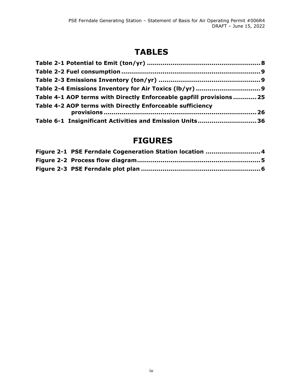## **TABLES**

| Table 4-1 AOP terms with Directly Enforceable gapfill provisions25 |  |
|--------------------------------------------------------------------|--|
| Table 4-2 AOP terms with Directly Enforceable sufficiency          |  |
| Table 6-1 Insignificant Activities and Emission Units36            |  |

## **FIGURES**

| Figure 2-1 PSE Ferndale Cogeneration Station location 4 |
|---------------------------------------------------------|
|                                                         |
|                                                         |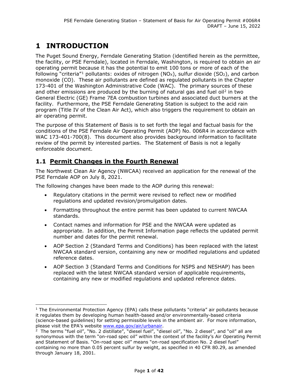## **1 INTRODUCTION**

The Puget Sound Energy, Ferndale Generating Station (identified herein as the permittee, the facility, or PSE Ferndale), located in Ferndale, Washington, is required to obtain an air operating permit because it has the potential to emit 100 tons or more of each of the following "criteria"<sup>[1](#page-4-0)</sup> pollutants: oxides of nitrogen (NO<sub>x</sub>), sulfur dioxide (SO<sub>2</sub>), and carbon monoxide (CO). These air pollutants are defined as regulated pollutants in the Chapter 173-401 of the Washington Administrative Code (WAC). The primary sources of these and other emissions are produced by the burning of natural gas and fuel oil<sup>[2](#page-4-1)</sup> in two General Electric (GE) Frame 7EA combustion turbines and associated duct burners at the facility. Furthermore, the PSE Ferndale Generating Station is subject to the acid rain program (Title IV of the Clean Air Act), which also triggers the requirement to obtain an air operating permit.

The purpose of this Statement of Basis is to set forth the legal and factual basis for the conditions of the PSE Ferndale Air Operating Permit (AOP) No. 006R4 in accordance with WAC 173-401-700(8). This document also provides background information to facilitate review of the permit by interested parties. The Statement of Basis is not a legally enforceable document.

### **1.1 Permit Changes in the Fourth Renewal**

The Northwest Clean Air Agency (NWCAA) received an application for the renewal of the PSE Ferndale AOP on July 8, 2021.

The following changes have been made to the AOP during this renewal:

- Regulatory citations in the permit were revised to reflect new or modified regulations and updated revision/promulgation dates.
- Formatting throughout the entire permit has been updated to current NWCAA standards.
- Contact names and information for PSE and the NWCAA were updated as appropriate. In addition, the Permit Information page reflects the updated permit number and dates for the permit renewal.
- AOP Section 2 (Standard Terms and Conditions) has been replaced with the latest NWCAA standard version, containing any new or modified regulations and updated reference dates.
- AOP Section 3 (Standard Terms and Conditions for NSPS and NESHAP) has been replaced with the latest NWCAA standard version of applicable requirements, containing any new or modified regulations and updated reference dates.

<span id="page-4-0"></span><sup>&</sup>lt;sup>1</sup> The Environmental Protection Agency (EPA) calls these pollutants "criteria" air pollutants because it regulates them by developing human health-based and/or environmentally-based criteria (science-based guidelines) for setting permissible levels in the ambient air. For more information, please visit the EPA's website [www.epa.gov/air/urbanair.](http://www.epa.gov/air/urbanair)<br><sup>2</sup> The terms "fuel oil", "No. 2 distillate", "diesel fuel", "diesel oil", "No. 2 diesel", and "oil" all are

<span id="page-4-1"></span>synonymous with the term "on-road spec oil" within the context of the facility's Air Operating Permit and Statement of Basis. "On-road spec oil" means "on-road specification No. 2 diesel fuel" containing no more than 0.05 percent sulfur by weight, as specified in 40 CFR 80.29, as amended through January 18, 2001.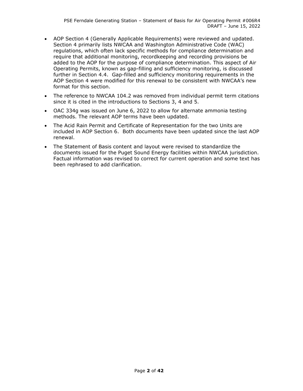- AOP Section 4 (Generally Applicable Requirements) were reviewed and updated. Section 4 primarily lists NWCAA and Washington Administrative Code (WAC) regulations, which often lack specific methods for compliance determination and require that additional monitoring, recordkeeping and recording provisions be added to the AOP for the purpose of compliance determination. This aspect of Air Operating Permits, known as gap-filling and sufficiency monitoring, is discussed further in Section 4.4. Gap-filled and sufficiency monitoring requirements in the AOP Section 4 were modified for this renewal to be consistent with NWCAA's new format for this section.
- The reference to NWCAA 104.2 was removed from individual permit term citations since it is cited in the introductions to Sections 3, 4 and 5.
- OAC 334g was issued on June 6, 2022 to allow for alternate ammonia testing methods. The relevant AOP terms have been updated.
- The Acid Rain Permit and Certificate of Representation for the two Units are included in AOP Section 6. Both documents have been updated since the last AOP renewal.
- The Statement of Basis content and layout were revised to standardize the documents issued for the Puget Sound Energy facilities within NWCAA jurisdiction. Factual information was revised to correct for current operation and some text has been rephrased to add clarification.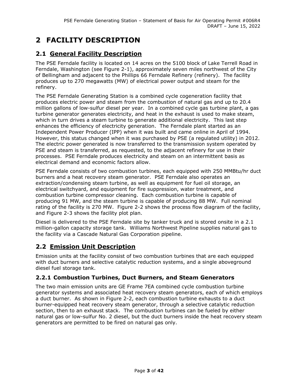## **2 FACILITY DESCRIPTION**

## **2.1 General Facility Description**

The PSE Ferndale facility is located on 14 acres on the 5100 block of Lake Terrell Road in Ferndale, Washington (see [Figure 2-1\)](#page-7-0), approximately seven miles northwest of the City of Bellingham and adjacent to the Phillips 66 Ferndale Refinery (refinery). The facility produces up to 270 megawatts (MW) of electrical power output and steam for the refinery.

The PSE Ferndale Generating Station is a combined cycle cogeneration facility that produces electric power and steam from the combustion of natural gas and up to 20.4 million gallons of low-sulfur diesel per year. In a combined cycle gas turbine plant, a gas turbine generator generates electricity, and heat in the exhaust is used to make steam, which in turn drives a steam turbine to generate additional electricity. This last step enhances the efficiency of electricity generation. The Ferndale plant started as an Independent Power Producer (IPP) when it was built and came online in April of 1994. However, this status changed when it was purchased by PSE (a regulated utility) in 2012. The electric power generated is now transferred to the transmission system operated by PSE and steam is transferred, as requested, to the adjacent refinery for use in their processes. PSE Ferndale produces electricity and steam on an intermittent basis as electrical demand and economic factors allow.

PSE Ferndale consists of two combustion turbines, each equipped with 250 MMBtu/hr duct burners and a heat recovery steam generator. PSE Ferndale also operates an extraction/condensing steam turbine, as well as equipment for fuel oil storage, an electrical switchyard, and equipment for fire suppression, water treatment, and combustion turbine compressor cleaning. Each combustion turbine is capable of producing 91 MW, and the steam turbine is capable of producing 88 MW. Full nominal rating of the facility is 270 MW. [Figure 2-2](#page-8-0) shows the process flow diagram of the facility, and Figure 2-3 shows the facility plot plan.

Diesel is delivered to the PSE Ferndale site by tanker truck and is stored onsite in a 2.1 million-gallon capacity storage tank. Williams Northwest Pipeline supplies natural gas to the facility via a Cascade Natural Gas Corporation pipeline.

## **2.2 Emission Unit Description**

Emission units at the facility consist of two combustion turbines that are each equipped with duct burners and selective catalytic reduction systems, and a single aboveground diesel fuel storage tank.

### <span id="page-6-0"></span>**2.2.1 Combustion Turbines, Duct Burners, and Steam Generators**

The two main emission units are GE Frame 7EA combined cycle combustion turbine generator systems and associated heat recovery steam generators, each of which employs a duct burner. As shown in [Figure 2-2,](#page-8-0) each combustion turbine exhausts to a duct burner-equipped heat recovery steam generator, through a selective catalytic reduction section, then to an exhaust stack. The combustion turbines can be fueled by either natural gas or low-sulfur No. 2 diesel, but the duct burners inside the heat recovery steam generators are permitted to be fired on natural gas only.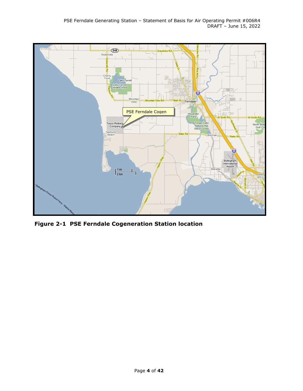

<span id="page-7-0"></span>**Figure 2-1 PSE Ferndale Cogeneration Station location**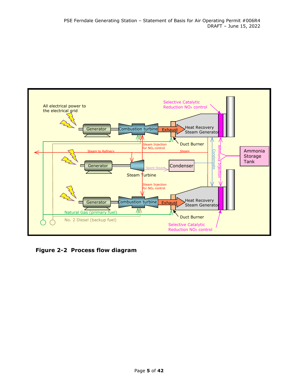

<span id="page-8-0"></span>**Figure 2-2 Process flow diagram**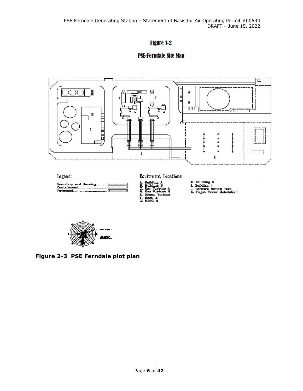## Figure 1-2

## **PSE-Ferndale Site Map**





**Figure 2-3 PSE Ferndale plot plan**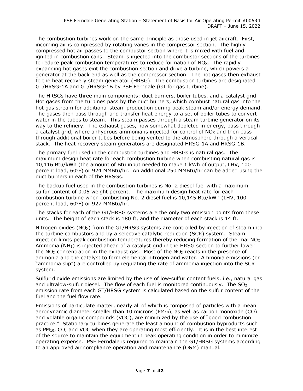The combustion turbines work on the same principle as those used in jet aircraft. First, incoming air is compressed by rotating vanes in the compressor section. The highly compressed hot air passes to the combustor section where it is mixed with fuel and ignited in combustion cans. Steam is injected into the combustor sections of the turbines to reduce peak combustion temperatures to reduce formation of  $NO<sub>X</sub>$ . The rapidly expanding hot gases exit the combustion section and drive a turbine, which powers a generator at the back end as well as the compressor section. The hot gases then exhaust to the heat recovery steam generator (HRSG). The combustion turbines are designated GT/HRSG-1A and GT/HRSG-1B by PSE Ferndale (GT for gas turbine).

The HRSGs have three main components: duct burners, boiler tubes, and a catalyst grid. Hot gases from the turbines pass by the duct burners, which combust natural gas into the hot gas stream for additional steam production during peak steam and/or energy demand. The gases then pass through and transfer heat energy to a set of boiler tubes to convert water in the tubes to steam. This steam passes through a steam turbine generator on its way to the refinery. The exhaust gases, now somewhat depleted in energy, pass through a catalyst grid, where anhydrous ammonia is injected for control of  $NO<sub>X</sub>$  and then pass through additional boiler tubes before being vented to the atmosphere through a vertical stack. The heat recovery steam generators are designated HRSG-1A and HRSG-1B.

The primary fuel used in the combustion turbines and HRSGs is natural gas. The maximum design heat rate for each combustion turbine when combusting natural gas is 10,116 Btu/kWh (the amount of Btu input needed to make 1 kWh of output, LHV, 100 percent load, 60°F) or 924 MMBtu/hr. An additional 250 MMBtu/hr can be added using the duct burners in each of the HRSGs.

The backup fuel used in the combustion turbines is No. 2 diesel fuel with a maximum sulfur content of 0.05 weight percent. The maximum design heat rate for each combustion turbine when combusting No. 2 diesel fuel is 10,145 Btu/kWh (LHV, 100 percent load, 60°F) or 927 MMBtu/hr.

The stacks for each of the GT/HRSG systems are the only two emission points from these units. The height of each stack is 180 ft, and the diameter of each stack is 14 ft.

Nitrogen oxides ( $NO<sub>x</sub>$ ) from the GT/HRSG systems are controlled by injection of steam into the turbine combustors and by a selective catalytic reduction (SCR) system. Steam injection limits peak combustion temperatures thereby reducing formation of thermal  $NO<sub>x</sub>$ . Ammonia (NH3) is injected ahead of a catalyst grid in the HRSG section to further lower the  $NO<sub>X</sub>$  concentration in the exhaust gas. Most of the  $NO<sub>X</sub>$  reacts in the presence of ammonia and the catalyst to form elemental nitrogen and water. Ammonia emissions (or "ammonia slip") are controlled by regulating the rate of ammonia injection into the SCR system.

Sulfur dioxide emissions are limited by the use of low-sulfur content fuels, i.e., natural gas and ultralow-sulfur diesel. The flow of each fuel is monitored continuously. The  $SO<sub>2</sub>$ emission rate from each GT/HRSG system is calculated based on the sulfur content of the fuel and the fuel flow rate.

Emissions of particulate matter, nearly all of which is composed of particles with a mean aerodynamic diameter smaller than 10 microns ( $PM_{10}$ ), as well as carbon monoxide (CO) and volatile organic compounds (VOC), are minimized by the use of "good combustion practice." Stationary turbines generate the least amount of combustion byproducts such as PM10, CO, and VOC when they are operating most efficiently. It is in the best interest of the source to maintain the equipment in peak operating condition in order to minimize operating expense. PSE Ferndale is required to maintain the GT/HRSG systems according to an approved air compliance operation and maintenance (O&M) manual.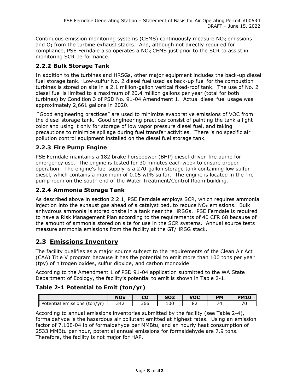Continuous emission monitoring systems (CEMS) continuously measure  $NO<sub>X</sub>$  emissions and  $O<sub>2</sub>$  from the turbine exhaust stacks. And, although not directly required for compliance, PSE Ferndale also operates a  $NO<sub>x</sub>$  CEMS just prior to the SCR to assist in monitoring SCR performance.

### **2.2.2 Bulk Storage Tank**

In addition to the turbines and HRSGs, other major equipment includes the back-up diesel fuel storage tank. Low-sulfur No. 2 diesel fuel used as back-up fuel for the combustion turbines is stored on site in a 2.1 million-gallon vertical fixed-roof tank. The use of No. 2 diesel fuel is limited to a maximum of 20.4 million gallons per year (total for both turbines) by Condition 3 of PSD No. 91-04 Amendment 1. Actual diesel fuel usage was approximately 2,661 gallons in 2020.

"Good engineering practices" are used to minimize evaporative emissions of VOC from the diesel storage tank. Good engineering practices consist of painting the tank a light color and using it only for storage of low vapor pressure diesel fuel, and taking precautions to minimize spillage during fuel transfer activities. There is no specific air pollution control equipment installed on the diesel fuel storage tank.

### **2.2.3 Fire Pump Engine**

PSE Ferndale maintains a 182 brake horsepower (BHP) diesel-driven fire pump for emergency use. The engine is tested for 30 minutes each week to ensure proper operation. The engine's fuel supply is a 270-gallon storage tank containing low sulfur diesel, which contains a maximum of 0.05 wt% sulfur. The engine is located in the fire pump room on the south end of the Water Treatment/Control Room building.

### **2.2.4 Ammonia Storage Tank**

As described above in section [2.2.1,](#page-6-0) PSE Ferndale employs SCR, which requires ammonia injection into the exhaust gas ahead of a catalyst bed, to reduce  $NO<sub>X</sub>$  emissions. Bulk anhydrous ammonia is stored onsite in a tank near the HRSGs. PSE Ferndale is required to have a Risk Management Plan according to the requirements of 40 CFR 68 because of the amount of ammonia stored on site for use in the SCR systems. Annual source tests measure ammonia emissions from the facility at the GT/HRSG stack.

## **2.3 Emissions Inventory**

The facility qualifies as a major source subject to the requirements of the Clean Air Act (CAA) Title V program because it has the potential to emit more than 100 tons per year (tpy) of nitrogen oxides, sulfur dioxide, and carbon monoxide.

According to the Amendment 1 of PSD 91-04 application submitted to the WA State Department of Ecology, the facility's potential to emit is shown in Table 2-1.

### **Table 2-1 Potential to Emit (ton/yr)**

|                                       | <b>NOx</b> | CO  | <b>SO2</b> | <b>VOC</b> | PM                       | <b>PM10</b> |
|---------------------------------------|------------|-----|------------|------------|--------------------------|-------------|
| ll Potential<br>(ton/vr)<br>emissions | 342        | 366 | 100        | OZ.        | $\overline{\phantom{a}}$ | 70          |

According to annual emissions inventories submitted by the facility (see Table 2-4), formaldehyde is the hazardous air pollutant emitted at highest rates. Using an emission factor of 7.10E-04 lb of formaldehyde per MMBtu, and an hourly heat consumption of 2533 MMBtu per hour, potential annual emissions for formaldehyde are 7.9 tons. Therefore, the facility is not major for HAP.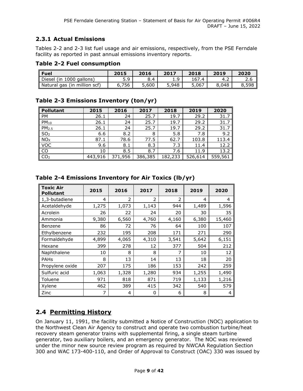#### **2.3.1 Actual Emissions**

Tables 2-2 and 2-3 list fuel usage and air emissions, respectively, from the PSE Ferndale facility as reported in past annual emissions inventory reports.

#### **Table 2-2 Fuel consumption**

| <b>Fuel</b>                  | 2015  | 2016                     | 2017        | 2018      | 2019  | 2020  |
|------------------------------|-------|--------------------------|-------------|-----------|-------|-------|
| Diesel (in 1000 gallons)     | 5.9   | $\boldsymbol{\varDelta}$ | ۰Q<br>. . J | 167<br>.4 | 4.2   | 2.6   |
| Natural gas (in million scf) | ና.756 | 5,600                    | 5,948       | 5,067     | 8,048 | 8,598 |

#### **Table 2-3 Emissions Inventory (ton/yr)**

| <b>Pollutant</b>  | 2015    | 2016    | 2017    | 2018    | 2019    | 2020    |
|-------------------|---------|---------|---------|---------|---------|---------|
| PM                | 26.1    | 24      | 25.7    | 19.7    | 29.2    | 31.7    |
| $PM_{10}$         | 26.1    | 24      | 25.7    | 19.7    | 29.2    | 31.7    |
| PM <sub>2.5</sub> | 26.1    | 24      | 25.7    | 19.7    | 29.2    | 31.7    |
| SO <sub>2</sub>   | 6.6     | 8.2     | 8       | 5.8     | 7.8     | 9.2     |
| NO <sub>X</sub>   | 87.1    | 78.6    | 77.5    | 62.7    | 103.8   | 113.4   |
| <b>VOC</b>        | 9.6     | 8.1     | 8.3     | 7.3     | 11.4    | 12.2    |
| <b>CO</b>         | 10      | 8.5     | 8.7     | 7.6     | 11.9    | 13.2    |
| CO <sub>2</sub>   | 443,916 | 371,956 | 386,385 | 182,233 | 526,614 | 559,561 |

| <b>Toxic Air</b><br><b>Pollutant</b> | 2015  | 2016           | 2017           | 2018  | 2019  | 2020   |
|--------------------------------------|-------|----------------|----------------|-------|-------|--------|
| 1,3-butadiene                        | 4     | $\overline{2}$ | $\overline{2}$ | 2     | 4     | 4      |
| Acetaldehyde                         | 1,275 | 1,073          | 1,143          | 944   | 1,489 | 1,596  |
| Acrolein                             | 26    | 22             | 24             | 20    | 30    | 35     |
| Ammonia                              | 9,380 | 6,560          | 4,760          | 4,160 | 6,380 | 15,460 |
| Benzene                              | 86    | 72             | 76             | 64    | 100   | 107    |
| Ethylbenzene                         | 232   | 195            | 208            | 171   | 271   | 290    |
| Formaldehyde                         | 4,899 | 4,065          | 4,310          | 3,541 | 5,642 | 6,151  |
| Hexane                               | 399   | 278            | 12             | 377   | 504   | 212    |
| Naphthalene                          | 10    | 8              | 8              | 7     | 10    | 12     |
| <b>PAHs</b>                          | 8     | 13             | 14             | 13    | 18    | 20     |
| Propylene oxide                      | 207   | 175            | 186            | 153   | 242   | 259    |
| Sulfuric acid                        | 1,063 | 1,328          | 1,280          | 934   | 1,255 | 1,490  |
| Toluene                              | 971   | 818            | 871            | 719   | 1,133 | 1,216  |
| Xylene                               | 462   | 389            | 415            | 342   | 540   | 579    |
| Zinc                                 | 7     | 4              | 0              | 6     | 8     | 4      |

#### **Table 2-4 Emissions Inventory for Air Toxics (lb/yr)**

## <span id="page-12-0"></span>**2.4 Permitting History**

On January 11, 1991, the facility submitted a Notice of Construction (NOC) application to the Northwest Clean Air Agency to construct and operate two combustion turbine/heat recovery steam generator trains with supplemental firing, a single steam turbine generator, two auxiliary boilers, and an emergency generator. The NOC was reviewed under the minor new source review program as required by NWCAA Regulation Section 300 and WAC 173-400-110, and Order of Approval to Construct (OAC) 330 was issued by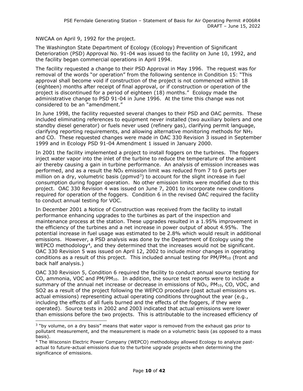NWCAA on April 9, 1992 for the project.

The Washington State Department of Ecology (Ecology) Prevention of Significant Deterioration (PSD) Approval No. 91-04 was issued to the facility on June 10, 1992, and the facility began commercial operations in April 1994.

The facility requested a change to their PSD Approval in May 1996. The request was for removal of the words "or operation" from the following sentence in Condition 15: "This approval shall become void if construction of the project is not commenced within 18 (eighteen) months after receipt of final approval, or if construction or operation of the project is discontinued for a period of eighteen (18) months." Ecology made the administrative change to PSD 91-04 in June 1996. At the time this change was not considered to be an "amendment."

In June 1998, the facility requested several changes to their PSD and OAC permits. These included eliminating references to equipment never installed (two auxiliary boilers and one standby diesel generator) or fuels never used (refinery gas), clarifying permit language, clarifying reporting requirements, and allowing alternative monitoring methods for  $NH<sub>3</sub>$ and CO. These requested changes were made in OAC 330 Revision 3 issued in September 1999 and in Ecology PSD 91-04 Amendment 1 issued in January 2000.

In 2001 the facility implemented a project to install foggers on the turbines. The foggers inject water vapor into the inlet of the turbine to reduce the temperature of the ambient air thereby causing a gain in turbine performance. An analysis of emission increases was performed, and as a result the  $N_{\text{Ox}}$  emission limit was reduced from 7 to 6 parts per million on a dry, volumetric basis ( $ppmvd3$  $ppmvd3$ ) to account for the slight increase in fuel consumption during fogger operation. No other emission limits were modified due to this project. OAC 330 Revision 4 was issued on June 7, 2001 to incorporate new conditions required for operation of the foggers. Condition 6 in the revised OAC required the facility to conduct annual testing for VOC.

In December 2001 a Notice of Construction was received from the facility to install performance enhancing upgrades to the turbines as part of the inspection and maintenance process at the station. These upgrades resulted in a 1.95% improvement in the efficiency of the turbines and a net increase in power output of about 4.95%. The potential increase in fuel usage was estimated to be 2.8% which would result in additional emissions. However, a PSD analysis was done by the Department of Ecology using the WEPCO methodology<sup>4</sup>, and they determined that the increases would not be significant. OAC 330 Revision 5 was issued on April 12, 2002 to include minor changes in operating conditions as a result of this project. This included annual testing for  $PM/PM_{10}$  (front and back half analysis.)

OAC 330 Revision 5, Condition 6 required the facility to conduct annual source testing for CO, ammonia, VOC and PM/PM10. In addition, the source test reports were to include a summary of the annual net increase or decrease in emissions of  $NO<sub>X</sub>$ ,  $PM<sub>10</sub>$ , CO, VOC, and SO2 as a result of the project following the WEPCO procedure (past actual emissions vs. actual emissions) representing actual operating conditions throughout the year (e.g., including the effects of all fuels burned and the effects of the foggers, if they were operated). Source tests in 2002 and 2003 indicated that actual emissions were lower than emissions before the two projects. This is attributable to the increased efficiency of

<span id="page-13-0"></span> $3$  "by volume, on a dry basis" means that water vapor is removed from the exhaust gas prior to pollutant measurement, and the measurement is made on a volumetric basis (as opposed to a mass basis).

<span id="page-13-1"></span><sup>&</sup>lt;sup>4</sup> The Wisconsin Electric Power Company (WEPCO) methodology allowed Ecology to analyze pastactual to future-actual emissions due to the turbine upgrade projects when determining the significance of emissions.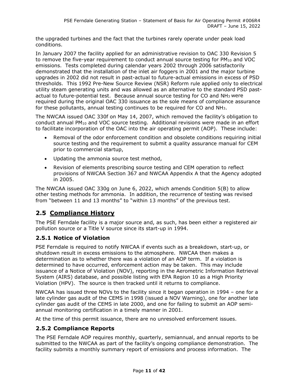the upgraded turbines and the fact that the turbines rarely operate under peak load conditions.

In January 2007 the facility applied for an administrative revision to OAC 330 Revision 5 to remove the five-year requirement to conduct annual source testing for  $PM_{10}$  and VOC emissions. Tests completed during calendar years 2002 through 2006 satisfactorily demonstrated that the installation of the inlet air foggers in 2001 and the major turbine upgrades in 2002 did not result in past-actual to future-actual emissions in excess of PSD thresholds. This 1992 Pre-New Source Review (NSR) Reform rule applied only to electrical utility steam generating units and was allowed as an alternative to the standard PSD pastactual to future-potential test. Because annual source testing for CO and NH3 were required during the original OAC 330 issuance as the sole means of compliance assurance for these pollutants, annual testing continues to be required for CO and NH3.

The NWCAA issued OAC 330f on May 14, 2007, which removed the facility's obligation to conduct annual PM10 and VOC source testing. Additional revisions were made in an effort to facilitate incorporation of the OAC into the air operating permit (AOP). These include:

- Removal of the odor enforcement condition and obsolete conditions requiring initial source testing and the requirement to submit a quality assurance manual for CEM prior to commercial startup,
- Updating the ammonia source test method,
- Revision of elements prescribing source testing and CEM operation to reflect provisions of NWCAA Section 367 and NWCAA Appendix A that the Agency adopted in 2005.

The NWCAA issued OAC 330g on June 6, 2022, which amends Condition 5(B) to allow other testing methods for ammonia. In addition, the recurrence of testing was revised from "between 11 and 13 months" to "within 13 months" of the previous test.

## **2.5 Compliance History**

The PSE Ferndale facility is a major source and, as such, has been either a registered air pollution source or a Title V source since its start-up in 1994.

### **2.5.1 Notice of Violation**

PSE Ferndale is required to notify NWCAA if events such as a breakdown, start-up, or shutdown result in excess emissions to the atmosphere. NWCAA then makes a determination as to whether there was a violation of an AOP term. If a violation is determined to have occurred, enforcement action may be taken. This may include issuance of a Notice of Violation (NOV), reporting in the Aerometric Information Retrieval System (AIRS) database, and possible listing with EPA Region 10 as a High Priority Violation (HPV). The source is then tracked until it returns to compliance.

NWCAA has issued three NOVs to the facility since it began operation in 1994 – one for a late cylinder gas audit of the CEMS in 1998 (issued a NOV Warning), one for another late cylinder gas audit of the CEMS in late 2000, and one for failing to submit an AOP semiannual monitoring certification in a timely manner in 2001.

At the time of this permit issuance, there are no unresolved enforcement issues.

#### **2.5.2 Compliance Reports**

The PSE Ferndale AOP requires monthly, quarterly, semiannual, and annual reports to be submitted to the NWCAA as part of the facility's ongoing compliance demonstration. The facility submits a monthly summary report of emissions and process information. The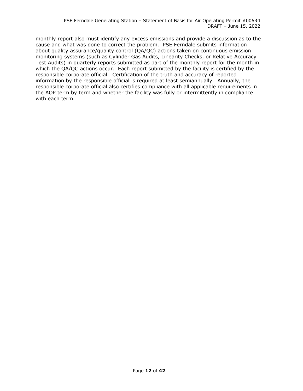monthly report also must identify any excess emissions and provide a discussion as to the cause and what was done to correct the problem. PSE Ferndale submits information about quality assurance/quality control (QA/QC) actions taken on continuous emission monitoring systems (such as Cylinder Gas Audits, Linearity Checks, or Relative Accuracy Test Audits) in quarterly reports submitted as part of the monthly report for the month in which the QA/QC actions occur. Each report submitted by the facility is certified by the responsible corporate official. Certification of the truth and accuracy of reported information by the responsible official is required at least semiannually. Annually, the responsible corporate official also certifies compliance with all applicable requirements in the AOP term by term and whether the facility was fully or intermittently in compliance with each term.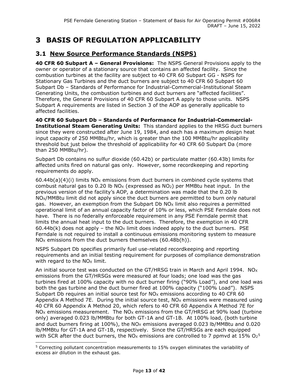## **3 BASIS OF REGULATION APPLICABILITY**

## **3.1 New Source Performance Standards (NSPS)**

**40 CFR 60 Subpart A – General Provisions:** The NSPS General Provisions apply to the owner or operator of a stationary source that contains an affected facility. Since the combustion turbines at the facility are subject to 40 CFR 60 Subpart GG - NSPS for Stationary Gas Turbines and the duct burners are subject to 40 CFR 60 Subpart 60 Subpart Db – Standards of Performance for Industrial-Commercial-Institutional Steam Generating Units, the combustion turbines and duct burners are "affected facilities". Therefore, the General Provisions of 40 CFR 60 Subpart A apply to those units. NSPS Subpart A requirements are listed in Section 3 of the AOP as generally applicable to affected facilities.

**40 CFR 60 Subpart Db – Standards of Performance for Industrial-Commercial-Institutional Steam Generating Units:** This standard applies to the HRSG duct burners since they were constructed after June 19, 1984, and each has a maximum design heat input capacity of 250 MMBtu/hr, which is greater than the 100 MMBtu/hr applicability threshold but just below the threshold of applicability for 40 CFR 60 Subpart Da (more than 250 MMBtu/hr).

Subpart Db contains no sulfur dioxide (60.42b) or particulate matter (60.43b) limits for affected units fired on natural gas only. However, some recordkeeping and reporting requirements do apply.

60.44b(a)(4)(i) limits  $NO<sub>X</sub>$  emissions from duct burners in combined cycle systems that combust natural gas to 0.20 lb  $NO<sub>X</sub>$  (expressed as  $NO<sub>2</sub>$ ) per MMBtu heat input. In the previous version of the facility's AOP, a determination was made that the 0.20 lb NO<sub>x</sub>/MMBtu limit did not apply since the duct burners are permitted to burn only natural gas. However, an exemption from the Subpart Db  $NO<sub>X</sub>$  limit also requires a permitted operational limit of an annual capacity factor of 10% or less, which PSE Ferndale does not have. There is no federally enforceable requirement in any PSE Ferndale permit that limits the annual heat input to the duct burners. Therefore, the exemption in 40 CFR 60.44b(k) does not apply – the NO<sub>x</sub> limit does indeed apply to the duct burners. PSE Ferndale is not required to install a continuous emissions monitoring system to measure  $NO<sub>X</sub>$  emissions from the duct burners themselves (60.48b(h)).

NSPS Subpart Db specifies primarily fuel use-related recordkeeping and reporting requirements and an initial testing requirement for purposes of compliance demonstration with regard to the  $NOx$  limit.

An initial source test was conducted on the GT/HRSG train in March and April 1994. NO $x$ emissions from the GT/HRSGs were measured at four loads; one load was the gas turbines fired at 100% capacity with no duct burner firing ("90% Load"), and one load was both the gas turbine and the duct burner fired at 100% capacity ("100% Load"). NSPS Subpart Db requires an initial source test for  $NO<sub>x</sub>$  emissions according to 40 CFR 60 Appendix A Method 7E. During the initial source test,  $NO<sub>x</sub>$  emissions were measured using 40 CFR 60 Appendix A Method 20, which refers to 40 CFR 60 Appendix A Method 7E for NO<sub>x</sub> emissions measurement. The NO<sub>x</sub> emissions from the GT/HRSG at 90% load (turbine only) averaged 0.023 lb/MMBtu for both GT-1A and GT-1B. At 100% load, (both turbine and duct burners firing at 100%), the  $NO<sub>x</sub>$  emissions averaged 0.023 lb/MMBtu and 0.020 lb/MMBtu for GT-1A and GT-1B, respectively. Since the GT/HRSGs are each equipped with SCR after the duct burners, the NO<sub>X</sub> emissions are controlled to 7 ppmvd at 1[5](#page-16-0)% O<sub>2</sub><sup>5</sup>

<span id="page-16-0"></span><sup>5</sup> Correcting pollutant concentration measurements to 15% oxygen eliminates the variability of excess air dilution in the exhaust gas.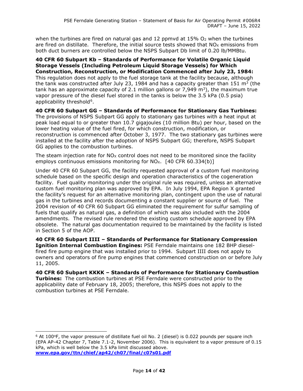when the turbines are fired on natural gas and 12 ppmvd at  $15\%$  O<sub>2</sub> when the turbines are fired on distillate. Therefore, the initial source tests showed that  $NO<sub>x</sub>$  emissions from both duct burners are controlled below the NSPS Subpart Db limit of 0.20 lb/MMBtu.

**40 CFR 60 Subpart Kb – Standards of Performance for Volatile Organic Liquid Storage Vessels (Including Petroleum Liquid Storage Vessels) for Which Construction, Reconstruction, or Modification Commenced after July 23, 1984:** This regulation does not apply to the fuel storage tank at the facility because, although the tank was constructed after July 23, 1984 and has a capacity greater than 151  $\text{m}^3$  (the tank has an approximate capacity of 2.1 million gallons or 7,949  $\text{m}^3$ ), the maximum true vapor pressure of the diesel fuel stored in the tanks is below the 3.5 kPa (0.5 psia) applicability threshold $6$ .

**40 CFR 60 Subpart GG – Standards of Performance for Stationary Gas Turbines:**  The provisions of NSPS Subpart GG apply to stationary gas turbines with a heat input at peak load equal to or greater than 10.7 gigajoules (10 million Btu) per hour, based on the lower heating value of the fuel fired, for which construction, modification, or reconstruction is commenced after October 3, 1977. The two stationary gas turbines were installed at the facility after the adoption of NSPS Subpart GG; therefore, NSPS Subpart GG applies to the combustion turbines.

The steam injection rate for  $NO_X$  control does not need to be monitored since the facility employs continuous emissions monitoring for  $NO<sub>X</sub>$ . [40 CFR 60.334(b)]

Under 40 CFR 60 Subpart GG, the facility requested approval of a custom fuel monitoring schedule based on the specific design and operation characteristics of the cogeneration facility. Fuel quality monitoring under the original rule was required, unless an alternative custom fuel monitoring plan was approved by EPA. In July 1994, EPA Region X granted the facility's request for an alternative monitoring plan, contingent upon the use of natural gas in the turbines and records documenting a constant supplier or source of fuel. The 2004 revision of 40 CFR 60 Subpart GG eliminated the requirement for sulfur sampling of fuels that qualify as natural gas, a definition of which was also included with the 2004 amendments. The revised rule rendered the existing custom schedule approved by EPA obsolete. The natural gas documentation required to be maintained by the facility is listed in Section 5 of the AOP.

**40 CFR 60 Subpart IIII – Standards of Performance for Stationary Compression Ignition Internal Combustion Engines:** PSE Ferndale maintains one 182 BHP dieselfired fire pump engine that was installed prior to 1994. Subpart IIII does not apply to owners and operators of fire pump engines that commenced construction on or before July 11, 2005.

**40 CFR 60 Subpart KKKK – Standards of Performance for Stationary Combustion Turbines:** The combustion turbines at PSE Ferndale were constructed prior to the applicability date of February 18, 2005; therefore, this NSPS does not apply to the combustion turbines at PSE Ferndale.

<span id="page-17-0"></span><sup>&</sup>lt;sup>6</sup> At 100°F, the vapor pressure of distillate fuel oil No. 2 (diesel) is 0.022 pounds per square inch (EPA AP-42 Chapter 7, Table 7.1-2, November 2006). This is equivalent to a vapor pressure of 0.15 kPa, which is well below the 3.5 kPa limit discussed above. **[www.epa.gov/ttn/chief/ap42/ch07/final/c07s01.pdf](http://www.epa.gov/ttn/chief/ap42/ch07/final/c07s01.pdf)**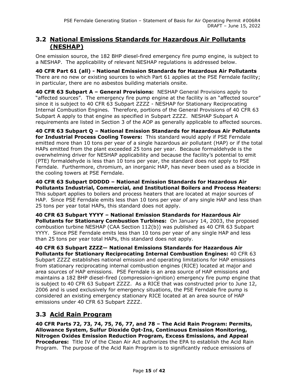### **3.2 National Emissions Standards for Hazardous Air Pollutants (NESHAP)**

One emission source, the 182 BHP diesel-fired emergency fire pump engine, is subject to a NESHAP. The applicability of relevant NESHAP regulations is addressed below.

**40 CFR Part 61 (all) - National Emission Standards for Hazardous Air Pollutants**  There are no new or existing sources to which Part 61 applies at the PSE Ferndale facility; in particular, there are no asbestos building materials onsite.

**40 CFR 63 Subpart A – General Provisions:** NESHAP General Provisions apply to "affected sources". The emergency fire pump engine at the facility is an "affected source" since it is subject to 40 CFR 63 Subpart ZZZZ - NESHAP for Stationary Reciprocating Internal Combustion Engines. Therefore, portions of the General Provisions of 40 CFR 63 Subpart A apply to that engine as specified in Subpart ZZZZ. NESHAP Subpart A requirements are listed in Section 3 of the AOP as generally applicable to affected sources.

**40 CFR 63 Subpart Q – National Emission Standards for Hazardous Air Pollutants for Industrial Process Cooling Towers:** This standard would apply if PSE Ferndale emitted more than 10 tons per year of a single hazardous air pollutant (HAP) or if the total HAPs emitted from the plant exceeded 25 tons per year. Because formaldehyde is the overwhelming driver for NESHAP applicability and because the facility's potential to emit (PTE) formaldehyde is less than 10 tons per year, the standard does not apply to PSE Ferndale. Furthermore, chromium, an inorganic HAP, has never been used as a biocide in the cooling towers at PSE Ferndale.

**40 CFR 63 Subpart DDDDD – National Emission Standards for Hazardous Air Pollutants Industrial, Commercial, and Institutional Boilers and Process Heaters:** This subpart applies to boilers and process heaters that are located at major sources of HAP. Since PSE Ferndale emits less than 10 tons per year of any single HAP and less than 25 tons per year total HAPs, this standard does not apply.

**40 CFR 63 Subpart YYYY – National Emission Standards for Hazardous Air Pollutants for Stationary Combustion Turbines:** On January 14, 2003, the proposed combustion turbine NESHAP (CAA Section 112(b)) was published as 40 CFR 63 Subpart YYYY. Since PSE Ferndale emits less than 10 tons per year of any single HAP and less than 25 tons per year total HAPs, this standard does not apply.

**40 CFR 63 Subpart ZZZZ— National Emissions Standards for Hazardous Air Pollutants for Stationary Reciprocating Internal Combustion Engines:** 40 CFR 63 Subpart ZZZZ establishes national emission and operating limitations for HAP emissions from stationary reciprocating internal combustion engines (RICE) located at major and area sources of HAP emissions. PSE Ferndale is an area source of HAP emissions and maintains a 182 BHP diesel-fired (compression-ignition) emergency fire pump engine that is subject to 40 CFR 63 Subpart ZZZZ. As a RICE that was constructed prior to June 12, 2006 and is used exclusively for emergency situations, the PSE Ferndale fire pump is considered an existing emergency stationary RICE located at an area source of HAP emissions under 40 CFR 63 Subpart ZZZZ.

## **3.3 Acid Rain Program**

**40 CFR Parts 72, 73, 74, 75, 76, 77, and 78 – The Acid Rain Program: Permits, Allowance System, Sulfur Dioxide Opt-Ins, Continuous Emission Monitoring, Nitrogen Oxides Emission Reduction Program, Excess Emissions, and Appeal Procedures:** Title IV of the Clean Air Act authorizes the EPA to establish the Acid Rain Program. The purpose of the Acid Rain Program is to significantly reduce emissions of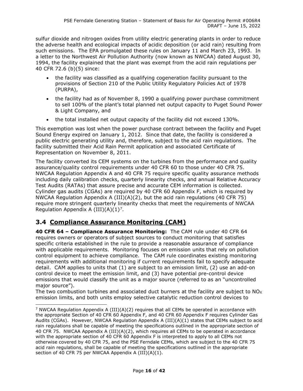sulfur dioxide and nitrogen oxides from utility electric generating plants in order to reduce the adverse health and ecological impacts of acidic deposition (or acid rain) resulting from such emissions. The EPA promulgated these rules on January 11 and March 23, 1993. In a letter to the Northwest Air Pollution Authority (now known as NWCAA) dated August 30, 1994, the facility explained that the plant was exempt from the acid rain regulations per 40 CFR 72.6 (b)(5) since:

- the facility was classified as a qualifying cogeneration facility pursuant to the provisions of Section 210 of the Public Utility Regulatory Policies Act of 1978 (PURPA),
- the facility had as of November 8, 1990 a qualifying power purchase commitment to sell 100% of the plant's total planned net output capacity to Puget Sound Power & Light Company, and
- the total installed net output capacity of the facility did not exceed 130%.

This exemption was lost when the power purchase contract between the facility and Puget Sound Energy expired on January 1, 2012. Since that date, the facility is considered a public electric generating utility and, therefore, subject to the acid rain regulations. The facility submitted their Acid Rain Permit application and associated Certificate of Representation on November 8, 2011.

The facility converted its CEM systems on the turbines from the performance and quality assurance/quality control requirements under 40 CFR 60 to those under 40 CFR 75. NWCAA Regulation Appendix A and 40 CFR 75 require specific quality assurance methods including daily calibration checks, quarterly linearity checks, and annual Relative Accuracy Test Audits (RATAs) that assure precise and accurate CEM information is collected. Cylinder gas audits (CGAs) are required by 40 CFR 60 Appendix F, which is required by NWCAA Regulation Appendix A (III)(A)(2), but the acid rain regulations (40 CFR 75) require more stringent quarterly linearity checks that meet the requirements of NWCAA Regulation Appendix A  $(III)(A)(1)^7$ .

## **3.4 Compliance Assurance Monitoring (CAM)**

**40 CFR 64 – Compliance Assurance Monitoring:** The CAM rule under 40 CFR 64 requires owners or operators of subject sources to conduct monitoring that satisfies specific criteria established in the rule to provide a reasonable assurance of compliance with applicable requirements. Monitoring focuses on emission units that rely on pollution control equipment to achieve compliance. The CAM rule coordinates existing monitoring requirements with additional monitoring if current requirements fail to specify adequate detail. CAM applies to units that (1) are subject to an emission limit, (2) use an add-on control device to meet the emission limit, and (3) have potential pre-control device emissions that would classify the unit as a major source (referred to as an "uncontrolled major source").

The two combustion turbines and associated duct burners at the facility are subject to  $NO_X$ emission limits, and both units employ selective catalytic reduction control devices to

<span id="page-19-0"></span><sup>&</sup>lt;sup>7</sup> NWCAA Regulation Appendix A (III)(A)(2) requires that all CEMs be operated in accordance with the appropriate Section of 40 CFR 60 Appendix F, and 40 CFR 60 Appendix F requires Cylinder Gas Audits (CGAs). However, NWCAA Regulation Appendix A (III)(A)(1) states that CEMs subject to acid rain regulations shall be capable of meeting the specifications outlined in the appropriate section of 40 CFR 75. NWCAA Appendix A (III)(A)(2), which requires all CEMs to be operated in accordance with the appropriate section of 40 CFR 60 Appendix F is interpreted to apply to all CEMs not otherwise covered by 40 CFR 75, and the PSE Ferndale CEMs, which are subject to the 40 CFR 75 acid rain regulations, shall be capable of meeting the specifications outlined in the appropriate section of 40 CFR 75 per NWCAA Appendix A (III)(A)(1).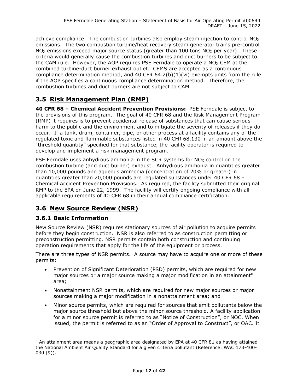achieve compliance. The combustion turbines also employ steam injection to control  $NO_X$ emissions. The two combustion turbine/heat recovery steam generator trains pre-control NO<sub>x</sub> emissions exceed major source status (greater than 100 tons NO<sub>x</sub> per year). These criteria would generally cause the combustion turbines and duct burners to be subject to the CAM rule. However, the AOP requires PSE Ferndale to operate a  $NO<sub>X</sub>$  CEM at the combined turbine-duct burner exhaust outlet. CEMS are accepted as a continuous compliance determination method, and 40 CFR  $64.2(b)(1)(vi)$  exempts units from the rule if the AOP specifies a continuous compliance determination method. Therefore, the combustion turbines and duct burners are not subject to CAM.

## **3.5 Risk Management Plan (RMP)**

**40 CFR 68 – Chemical Accident Prevention Provisions:** PSE Ferndale is subject to the provisions of this program. The goal of 40 CFR 68 and the Risk Management Program (RMP) it requires is to prevent accidental release of substances that can cause serious harm to the public and the environment and to mitigate the severity of releases if they do occur. If a tank, drum, container, pipe, or other process at a facility contains any of the regulated toxic and flammable substances listed in 40 CFR 68.130 in an amount above the "threshold quantity" specified for that substance, the facility operator is required to develop and implement a risk management program.

PSE Ferndale uses anhydrous ammonia in the SCR systems for  $NO<sub>x</sub>$  control on the combustion turbine (and duct burner) exhaust. Anhydrous ammonia in quantities greater than 10,000 pounds and aqueous ammonia (concentration of 20% or greater) in quantities greater than 20,000 pounds are regulated substances under 40 CFR 68 – Chemical Accident Prevention Provisions. As required, the facility submitted their original RMP to the EPA on June 22, 1999. The facility will certify ongoing compliance with all applicable requirements of 40 CFR 68 in their annual compliance certification.

## **3.6 New Source Review (NSR)**

#### **3.6.1 Basic Information**

New Source Review (NSR) requires stationary sources of air pollution to acquire permits before they begin construction. NSR is also referred to as construction permitting or preconstruction permitting. NSR permits contain both construction and continuing operation requirements that apply for the life of the equipment or process.

There are three types of NSR permits. A source may have to acquire one or more of these permits:

- Prevention of Significant Deterioration (PSD) permits, which are required for new major sources or a major source making a major modification in an attainment<sup>[8](#page-20-0)</sup> area;
- Nonattainment NSR permits, which are required for new major sources or major sources making a major modification in a nonattainment area; and
- Minor source permits, which are required for sources that emit pollutants below the major source threshold but above the minor source threshold. A facility application for a minor source permit is referred to as "Notice of Construction", or NOC. When issued, the permit is referred to as an "Order of Approval to Construct", or OAC. It

<span id="page-20-0"></span><sup>&</sup>lt;sup>8</sup> An attainment area means a geographic area designated by EPA at 40 CFR 81 as having attained the National Ambient Air Quality Standard for a given criteria pollutant (Reference: WAC 173-400- 030 (9)).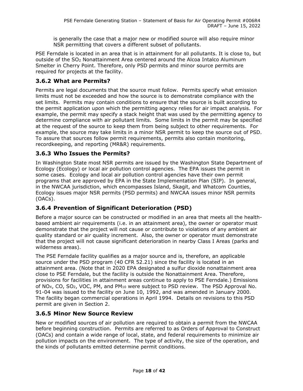is generally the case that a major new or modified source will also require minor NSR permitting that covers a different subset of pollutants.

PSE Ferndale is located in an area that is in attainment for all pollutants. It is close to, but outside of the SO2 Nonattainment Area centered around the Alcoa Intalco Aluminum Smelter in Cherry Point. Therefore, only PSD permits and minor source permits are required for projects at the facility.

#### **3.6.2 What are Permits?**

Permits are legal documents that the source must follow. Permits specify what emission limits must not be exceeded and how the source is to demonstrate compliance with the set limits. Permits may contain conditions to ensure that the source is built according to the permit application upon which the permitting agency relies for air impact analysis. For example, the permit may specify a stack height that was used by the permitting agency to determine compliance with air pollutant limits. Some limits in the permit may be specified at the request of the source to keep them from being subject to other requirements. For example, the source may take limits in a minor NSR permit to keep the source out of PSD. To assure that sources follow permit requirements, permits also contain monitoring, recordkeeping, and reporting (MR&R) requirements.

#### **3.6.3 Who Issues the Permits?**

In Washington State most NSR permits are issued by the Washington State Department of Ecology (Ecology) or local air pollution control agencies. The EPA issues the permit in some cases. Ecology and local air pollution control agencies have their own permit programs that are approved by EPA in the State Implementation Plan (SIP). In general, in the NWCAA jurisdiction, which encompasses Island, Skagit, and Whatcom Counties, Ecology issues major NSR permits (PSD permits) and NWCAA issues minor NSR permits (OACs).

### **3.6.4 Prevention of Significant Deterioration (PSD)**

Before a major source can be constructed or modified in an area that meets all the healthbased ambient air requirements (i.e. in an attainment area), the owner or operator must demonstrate that the project will not cause or contribute to violations of any ambient air quality standard or air quality increment. Also, the owner or operator must demonstrate that the project will not cause significant deterioration in nearby Class I Areas (parks and wilderness areas).

The PSE Ferndale facility qualifies as a major source and is, therefore, an applicable source under the PSD program (40 CFR 52.21) since the facility is located in an attainment area. (Note that in 2020 EPA designated a sulfur dioxide nonattainment area close to PSE Ferndale, but the facility is outside the Nonattainment Area. Therefore, provisions for facilities in attainment areas continue to apply to PSE Ferndale.) Emissions of NO<sub>X</sub>, CO, SO<sub>2</sub>, VOC, PM, and PM<sub>10</sub> were subject to PSD review. The PSD Approval No. 91-04 was issued to the facility on June 10, 1992, and was amended in January 2000. The facility began commercial operations in April 1994. Details on revisions to this PSD permit are given in Section 2.

#### **3.6.5 Minor New Source Review**

New or modified sources of air pollution are required to obtain a permit from the NWCAA before beginning construction. Permits are referred to as Orders of Approval to Construct (OACs) and contain a wide range of local, state, and federal requirements to minimize air pollution impacts on the environment. The type of activity, the size of the operation, and the kinds of pollutants emitted determine permit conditions.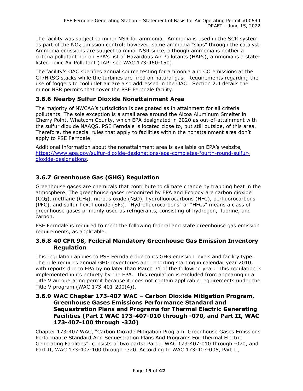The facility was subject to minor NSR for ammonia. Ammonia is used in the SCR system as part of the  $NO<sub>x</sub>$  emission control; however, some ammonia "slips" through the catalyst. Ammonia emissions are subject to minor NSR since, although ammonia is neither a criteria pollutant nor on EPA's list of Hazardous Air Pollutants (HAPs), ammonia is a statelisted Toxic Air Pollutant (TAP; see WAC 173-460-150).

The facility's OAC specifies annual source testing for ammonia and CO emissions at the GT/HRSG stacks while the turbines are fired on natural gas. Requirements regarding the use of foggers to cool inlet air are also addressed in the OAC. Section [2.4](#page-12-0) details the minor NSR permits that cover the PSE Ferndale facility.

#### **3.6.6 Nearby Sulfur Dioxide Nonattainment Area**

The majority of NWCAA's jurisdiction is designated as in attainment for all criteria pollutants. The sole exception is a small area around the Alcoa Aluminum Smelter in Cherry Point, Whatcom County, which EPA designated in 2020 as out-of-attainment with the sulfur dioxide NAAQS. PSE Ferndale is located close to, but still outside, of this area. Therefore, the special rules that apply to facilities within the nonattainment area don't apply to PSE Ferndale.

Additional information about the nonattainment area is available on EPA's website, [https://www.epa.gov/sulfur-dioxide-designations/epa-completes-fourth-round-sulfur](https://www.epa.gov/sulfur-dioxide-designations/epa-completes-fourth-round-sulfur-dioxide-designations)[dioxide-designations.](https://www.epa.gov/sulfur-dioxide-designations/epa-completes-fourth-round-sulfur-dioxide-designations)

### **3.6.7 Greenhouse Gas (GHG) Regulation**

Greenhouse gases are chemicals that contribute to climate change by trapping heat in the atmosphere. The greenhouse gases recognized by EPA and Ecology are carbon dioxide  $(CO<sub>2</sub>)$ , methane  $(CH<sub>4</sub>)$ , nitrous oxide  $(N<sub>2</sub>O)$ , hydrofluorocarbons (HFC), perfluorocarbons (PFC), and sulfur hexafluoride ( $SF<sub>6</sub>$ ). "Hydrofluorocarbons" or "HFCs" means a class of greenhouse gases primarily used as refrigerants, consisting of hydrogen, fluorine, and carbon.

PSE Ferndale is required to meet the following federal and state greenhouse gas emission requirements, as applicable.

#### **3.6.8 40 CFR 98, Federal Mandatory Greenhouse Gas Emission Inventory Regulation**

This regulation applies to PSE Ferndale due to its GHG emission levels and facility type. The rule requires annual GHG inventories and reporting starting in calendar year 2010, with reports due to EPA by no later than March 31 of the following year. This regulation is implemented in its entirety by the EPA. This regulation is excluded from appearing in a Title V air operating permit because it does not contain applicable requirements under the Title V program (WAC 173-401-200(4)).

#### **3.6.9 WAC Chapter 173-407 WAC – Carbon Dioxide Mitigation Program, Greenhouse Gases Emissions Performance Standard and Sequestration Plans and Programs for Thermal Electric Generating Facilities (Part I WAC 173-407-010 through -070, and Part II, WAC 173-407-100 through -320)**

Chapter 173-407 WAC, "Carbon Dioxide Mitigation Program, Greenhouse Gases Emissions Performance Standard And Sequestration Plans And Programs For Thermal Electric Generating Facilities", consists of two parts: Part I, WAC 173-407-010 through -070, and Part II, WAC 173-407-100 through -320. According to WAC 173-407-005, Part II,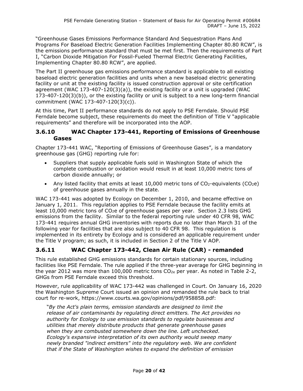"Greenhouse Gases Emissions Performance Standard And Sequestration Plans And Programs For Baseload Electric Generation Facilities Implementing Chapter 80.80 RCW", is the emissions performance standard that must be met first. Then the requirements of Part I, "Carbon Dioxide Mitigation For Fossil-Fueled Thermal Electric Generating Facilities, Implementing Chapter 80.80 RCW", are applied.

The Part II greenhouse gas emissions performance standard is applicable to all existing baseload electric generation facilities and units when a new baseload electric generating facility or unit at the existing facility is issued construction approval or site certification agreement (WAC 173-407-120(3)(a)), the existing facility or a unit is upgraded (WAC 173-407-120(3)(b)), or the existing facility or unit is subject to a new long-term financial commitment (WAC 173-407-120(3)(c)).

At this time, Part II performance standards do not apply to PSE Ferndale. Should PSE Ferndale become subject, these requirements do meet the definition of Title V "applicable requirements" and therefore will be incorporated into the AOP.

#### **3.6.10 WAC Chapter 173-441, Reporting of Emissions of Greenhouse Gases**

Chapter 173-441 WAC, "Reporting of Emissions of Greenhouse Gases", is a mandatory greenhouse gas (GHG) reporting rule for:

- Suppliers that supply applicable fuels sold in Washington State of which the complete combustion or oxidation would result in at least 10,000 metric tons of carbon dioxide annually; or
- Any listed facility that emits at least 10,000 metric tons of  $CO<sub>2</sub>$ -equivalents ( $CO<sub>2</sub>e$ ) of greenhouse gases annually in the state.

WAC 173-441 was adopted by Ecology on December 1, 2010, and became effective on January 1, 2011. This regulation applies to PSE Ferndale because the facility emits at least 10,000 metric tons of CO<sub>2</sub>e of greenhouse gases per year. Section 2.3 lists GHG emissions from the facility. Similar to the federal reporting rule under 40 CFR 98, WAC 173-441 requires annual GHG inventories with reports due no later than March 31 of the following year for facilities that are also subject to 40 CFR 98. This regulation is implemented in its entirety by Ecology and is considered an applicable requirement under the Title V program; as such, it is included in Section 2 of the Title V AOP.

## **3.6.11 WAC Chapter 173-442, Clean Air Rule (CAR) - remanded**

This rule established GHG emissions standards for certain stationary sources, including facilities like PSE Ferndale. The rule applied if the three-year average for GHG beginning in the year 2012 was more than 100,000 metric tons  $CO<sub>2e</sub>$  per year. As noted in Table 2-2, GHGs from PSE Ferndale exceed this threshold.

However, rule applicability of WAC 173-442 was challenged in Court. On January 16, 2020 the Washington Supreme Court issued an opinion and remanded the rule back to trial court for re-work, https://www.courts.wa.gov/opinions/pdf/958858.pdf:

"*By the Act's plain terms, emission standards are designed to limit the release of air contaminants by regulating direct emitters. The Act provides no authority for Ecology to use emission standards to regulate businesses and utilities that merely distribute products that generate greenhouse gases when they are combusted somewhere down the line. Left unchecked. Ecology's expansive interpretation of its own authority would sweep many newly branded "indirect emitters" into the regulatory web. We are confident that if the State of Washington wishes to expand the definition of emission*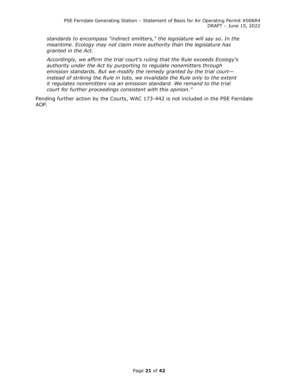*standards to encompass "indirect emitters," the legislature will say so. In the meantime. Ecology may not claim more authority than the legislature has granted in the Act.*

*Accordingly, we affirm the trial court's ruling that the Rule exceeds Ecology's authority under the Act by purporting to regulate nonemitters through emission standards. But we modify the remedy granted by the trial court instead of striking the Rule in toto, we invalidate the Rule only to the extent it regulates nonemitters via an emission standard. We remand to the trial court for further proceedings consistent with this opinion."*

Pending further action by the Courts, WAC 173-442 is not included in the PSE Ferndale AOP.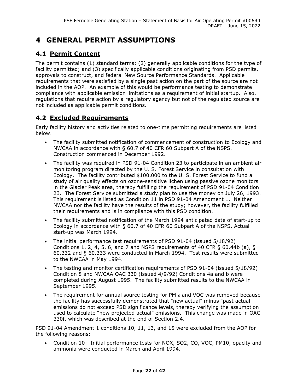## **4 GENERAL PERMIT ASSUMPTIONS**

## **4.1 Permit Content**

The permit contains (1) standard terms; (2) generally applicable conditions for the type of facility permitted; and (3) specifically applicable conditions originating from PSD permits, approvals to construct, and federal New Source Performance Standards. Applicable requirements that were satisfied by a single past action on the part of the source are not included in the AOP. An example of this would be performance testing to demonstrate compliance with applicable emission limitations as a requirement of initial startup. Also, regulations that require action by a regulatory agency but not of the regulated source are not included as applicable permit conditions.

## **4.2 Excluded Requirements**

Early facility history and activities related to one-time permitting requirements are listed below.

- The facility submitted notification of commencement of construction to Ecology and NWCAA in accordance with § 60.7 of 40 CFR 60 Subpart A of the NSPS. Construction commenced in December 1992.
- The facility was required in PSD 91-04 Condition 23 to participate in an ambient air monitoring program directed by the U. S. Forest Service in consultation with Ecology. The facility contributed \$100,000 to the U. S. Forest Service to fund a study of air quality effects on ozone-sensitive lichen using passive ozone monitors in the Glacier Peak area, thereby fulfilling the requirement of PSD 91-04 Condition 23. The Forest Service submitted a study plan to use the money on July 26, 1993. This requirement is listed as Condition 11 in PSD 91-04 Amendment 1. Neither NWCAA nor the facility have the results of the study; however, the facility fulfilled their requirements and is in compliance with this PSD condition.
- The facility submitted notification of the March 1994 anticipated date of start-up to Ecology in accordance with § 60.7 of 40 CFR 60 Subpart A of the NSPS. Actual start-up was March 1994.
- The initial performance test requirements of PSD 91-04 (issued 5/18/92) Conditions 1, 2, 4, 5, 6, and 7 and NSPS requirements of 40 CFR § 60.44b (a), § 60.332 and § 60.333 were conducted in March 1994. Test results were submitted to the NWCAA in May 1994.
- The testing and monitor certification requirements of PSD 91-04 (issued 5/18/92) Condition 8 and NWCAA OAC 330 (issued 4/9/92) Conditions 4a and b were completed during August 1995. The facility submitted results to the NWCAA in September 1995.
- The requirement for annual source testing for  $PM_{10}$  and VOC was removed because the facility has successfully demonstrated that "new actual" minus "past actual" emissions do not exceed PSD significance levels, thereby verifying the assumption used to calculate "new projected actual" emissions. This change was made in OAC 330f, which was described at the end of Section [2.4.](#page-12-0)

PSD 91-04 Amendment 1 conditions 10, 11, 13, and 15 were excluded from the AOP for the following reasons:

• Condition 10: Initial performance tests for NOX, SO2, CO, VOC, PM10, opacity and ammonia were conducted in March and April 1994.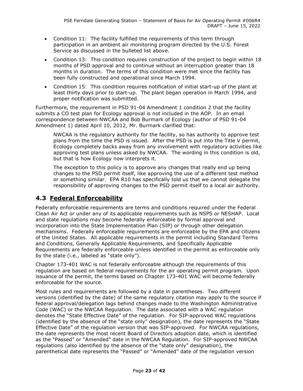- Condition 11: The facility fulfilled the requirements of this term through participation in an ambient air monitoring program directed by the U.S. Forest Service as discussed in the bulleted list above.
- Condition 13: This condition requires construction of the project to begin within 18 months of PSD approval and to continue without an interruption greater than 18 months in duration. The terms of this condition were met since the facility has been fully constructed and operational since March 1994.
- Condition 15: This condition requires notification of initial start-up of the plant at least thirty days prior to start-up. The plant began operation in March 1994, and proper notification was submitted.

Furthermore, the requirement in PSD 91-04 Amendment 1 condition 2 that the facility submits a CO test plan for Ecology approval is not included in the AOP. In an email correspondence between NWCAA and Bob Burmark of Ecology (author of PSD 91-04 Amendment 1) dated April 10, 2012, Mr. Burmark clarified that:

NWCAA is the regulatory authority for the facility, so has authority to approve test plans from the time the PSD is issued. After the PSD is put into the Title V permit, Ecology completely backs away from any involvement with regulatory activities like approving test plans unless asked by NWCAA. The wording in this condition is old, but that is how Ecology now interprets it.

The exception to this policy is to approve any changes that really end up being changes to the PSD permit itself, like approving the use of a different test method or something similar. EPA R10 has specifically told us that we cannot delegate the responsibility of approving changes to the PSD permit itself to a local air authority.

## **4.3 Federal Enforceability**

Federally enforceable requirements are terms and conditions required under the Federal Clean Air Act or under any of its applicable requirements such as NSPS or NESHAP. Local and state regulations may become federally enforceable by formal approval and incorporation into the State Implementation Plan (SIP) or through other delegation mechanisms. Federally enforceable requirements are enforceable by the EPA and citizens of the United States. All applicable requirements in the permit including Standard Terms and Conditions, Generally Applicable Requirements, and Specifically Applicable Requirements are federally enforceable unless identified in the permit as enforceable only by the state (i.e., labeled as "state only").

Chapter 173-401 WAC is not federally enforceable although the requirements of this regulation are based on federal requirements for the air operating permit program. Upon issuance of the permit, the terms based on Chapter 173-401 WAC will become federally enforceable for the source.

Most rules and requirements are followed by a date in parentheses. Two different versions (identified by the date) of the same regulatory citation may apply to the source if federal approval/delegation lags behind changes made to the Washington Administrative Code (WAC) or the NWCAA Regulation. The date associated with a WAC regulation denotes the "State Effective Date" of the regulation. For SIP-approved WAC regulations (identified by the absence of the "state only" designation), the date represents the "State Effective Date" of the regulation version that was SIP-approved. For NWCAA regulations, the date represents the most recent Board of Directors adoption date, which is identified as the "Passed" or "Amended" date in the NWCAA Regulation. For SIP-approved NWCAA regulations (also identified by the absence of the "state only" designation), the parenthetical date represents the "Passed" or "Amended" date of the regulation version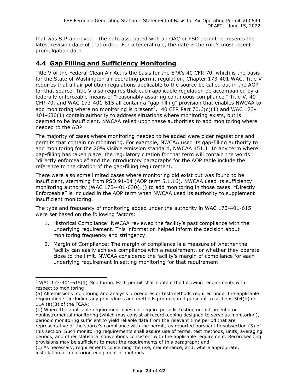that was SIP-approved. The date associated with an OAC or PSD permit represents the latest revision date of that order. For a federal rule, the date is the rule's most recent promulgation date.

## **4.4 Gap Filling and Sufficiency Monitoring**

Title V of the Federal Clean Air Act is the basis for the EPA's 40 CFR 70, which is the basis for the State of Washington air operating permit regulation, Chapter 173-401 WAC. Title V requires that all air pollution regulations applicable to the source be called out in the AOP for that source. Title V also requires that each applicable regulation be accompanied by a federally enforceable means of "reasonably assuring continuous compliance." Title V, 40 CFR 70, and WAC 173-401-615 all contain a "gap-filling" provision that enables NWCAA to add monitoring where no monitoring is present<sup>[9](#page-27-0)</sup>. 40 CFR Part 70.6(c)(1) and WAC 173-401-630(1) contain authority to address situations where monitoring exists, but is deemed to be insufficient. NWCAA relied upon these authorities to add monitoring where needed to the AOP.

The majority of cases where monitoring needed to be added were older regulations and permits that contain no monitoring. For example, NWCAA used its gap-filling authority to add monitoring for the 20% visible emission standard, NWCAA 451.1. In any term where gap-filling has taken place, the regulatory citation for that term will contain the words "directly enforceable" and the introductory paragraphs for the AOP table include the reference to the citation of the gap-filling requirement.

There were also some limited cases where monitoring did exist but was found to be insufficient, stemming from PSD 91-04 (AOP term 5.1.16). NWCAA used its sufficiency monitoring authority (WAC 173-401-630(1)) to add monitoring in those cases. "Directly Enforceable" is included in the AOP term when NWCAA used its authority to supplement insufficient monitoring.

The type and frequency of monitoring added under the authority in WAC 173-401-615 were set based on the following factors:

- 1. Historical Compliance: NWCAA reviewed the facility's past compliance with the underlying requirement. This information helped inform the decision about monitoring frequency and stringency.
- 2. Margin of Compliance: The margin of compliance is a measure of whether the facility can easily achieve compliance with a requirement, or whether they operate close to the limit. NWCAA considered the facility's margin of compliance for each underlying requirement in setting monitoring for that requirement.

<span id="page-27-0"></span><sup>9</sup> WAC 173-401-615(1) Monitoring. Each permit shall contain the following requirements with respect to monitoring:

<sup>(</sup>a) All emissions monitoring and analysis procedures or test methods required under the applicable requirements, including any procedures and methods promulgated pursuant to sections 504(b) or 114 (a)(3) of the FCAA;

<sup>(</sup>b) Where the applicable requirement does not require periodic testing or instrumental or noninstrumental monitoring (which may consist of recordkeeping designed to serve as monitoring), periodic monitoring sufficient to yield reliable data from the relevant time period that are representative of the source's compliance with the permit, as reported pursuant to subsection (3) of this section. Such monitoring requirements shall assure use of terms, test methods, units, averaging periods, and other statistical conventions consistent with the applicable requirement. Recordkeeping provisions may be sufficient to meet the requirements of this paragraph; and

<sup>(</sup>c) As necessary, requirements concerning the use, maintenance, and, where appropriate, installation of monitoring equipment or methods.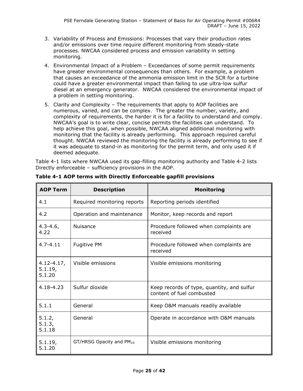- 3. Variability of Process and Emissions: Processes that vary their production rates and/or emissions over time require different monitoring from steady-state processes. NWCAA considered process and emission variability in setting monitoring.
- 4. Environmental Impact of a Problem Exceedances of some permit requirements have greater environmental consequences than others. For example, a problem that causes an exceedance of the ammonia emission limit in the SCR for a turbine could have a greater environmental impact than failing to use ultra-low sulfur diesel at an emergency generator. NWCAA considered the environmental impact of a problem in setting monitoring.
- 5. Clarity and Complexity The requirements that apply to AOP facilities are numerous, varied, and can be complex. The greater the number, variety, and complexity of requirements, the harder it is for a facility to understand and comply. NWCAA's goal is to write clear, concise permits the facilities can understand. To help achieve this goal, when possible, NWCAA aligned additional monitoring with monitoring that the facility is already performing. This approach required careful thought. NWCAA reviewed the monitoring the facility is already performing to see if it was adequate to stand-in as monitoring for the permit term, and only used it if deemed adequate.

Table 4-1 lists where NWCAA used its gap-filling monitoring authority and Table 4-2 lists Directly enforceable – sufficiency provisions in the AOP.

| <b>AOP Term</b>                     | <b>Description</b>          | <b>Monitoring</b>                                                       |
|-------------------------------------|-----------------------------|-------------------------------------------------------------------------|
| 4.1                                 | Required monitoring reports | Reporting periods identified                                            |
| 4.2                                 | Operation and maintenance   | Monitor, keep records and report                                        |
| $4.3 - 4.6$<br>4.22                 | <b>Nuisance</b>             | Procedure followed when complaints are<br>received                      |
| $4.7 - 4.11$                        | Fugitive PM                 | Procedure followed when complaints are<br>received                      |
| $4.12 - 4.17,$<br>5.1.19,<br>5.1.20 | Visible emissions           | Visible emissions monitoring                                            |
| 4.18-4.23                           | Sulfur dioxide              | Keep records of type, quantity, and sulfur<br>content of fuel combusted |
| 5.1.1                               | General                     | Keep O&M manuals readily available                                      |
| 5.1.2,<br>5.1.3,<br>5.1.18          | General                     | Operate in accordance with O&M manuals                                  |
| 5.1.19,<br>5.1.20                   | GT/HRSG Opacity and PM10    | Visible emissions monitoring                                            |

#### **Table 4-1 AOP terms with Directly Enforceable gapfill provisions**

 $\blacksquare$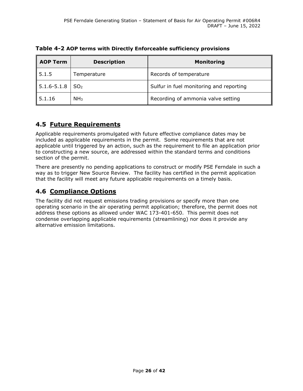**Table 4-2 AOP terms with Directly Enforceable sufficiency provisions**

| <b>AOP Term</b><br><b>Description</b> |                 | <b>Monitoring</b>                       |
|---------------------------------------|-----------------|-----------------------------------------|
| 5.1.5                                 | Temperature     | Records of temperature                  |
| $5.1.6 - 5.1.8$                       | SO <sub>2</sub> | Sulfur in fuel monitoring and reporting |
| 5.1.16                                | NH <sub>3</sub> | Recording of ammonia valve setting      |

## **4.5 Future Requirements**

Applicable requirements promulgated with future effective compliance dates may be included as applicable requirements in the permit. Some requirements that are not applicable until triggered by an action, such as the requirement to file an application prior to constructing a new source, are addressed within the standard terms and conditions section of the permit.

There are presently no pending applications to construct or modify PSE Ferndale in such a way as to trigger New Source Review. The facility has certified in the permit application that the facility will meet any future applicable requirements on a timely basis.

## **4.6 Compliance Options**

The facility did not request emissions trading provisions or specify more than one operating scenario in the air operating permit application; therefore, the permit does not address these options as allowed under WAC 173-401-650. This permit does not condense overlapping applicable requirements (streamlining) nor does it provide any alternative emission limitations.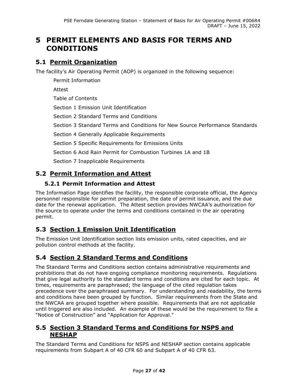## **5 PERMIT ELEMENTS AND BASIS FOR TERMS AND CONDITIONS**

## **5.1 Permit Organization**

The facility's Air Operating Permit (AOP) is organized in the following sequence:

Permit Information Attest Table of Contents Section 1 Emission Unit Identification Section 2 Standard Terms and Conditions Section 3 Standard Terms and Conditions for New Source Performance Standards Section 4 Generally Applicable Requirements Section 5 Specific Requirements for Emissions Units Section 6 Acid Rain Permit for Combustion Turbines 1A and 1B Section 7 Inapplicable Requirements

## **5.2 Permit Information and Attest**

### **5.2.1 Permit Information and Attest**

The Information Page identifies the facility, the responsible corporate official, the Agency personnel responsible for permit preparation, the date of permit issuance, and the due date for the renewal application. The Attest section provides NWCAA's authorization for the source to operate under the terms and conditions contained in the air operating permit.

## **5.3 Section 1 Emission Unit Identification**

The Emission Unit Identification section lists emission units, rated capacities, and air pollution control methods at the facility.

## **5.4 Section 2 Standard Terms and Conditions**

The Standard Terms and Conditions section contains administrative requirements and prohibitions that do not have ongoing compliance monitoring requirements. Regulations that give legal authority to the standard terms and conditions are cited for each topic. At times, requirements are paraphrased; the language of the cited regulation takes precedence over the paraphrased summary. For understanding and readability, the terms and conditions have been grouped by function. Similar requirements from the State and the NWCAA are grouped together where possible. Requirements that are not applicable until triggered are also included. An example of these would be the requirement to file a "Notice of Construction" and "Application for Approval."

### **5.5 Section 3 Standard Terms and Conditions for NSPS and NESHAP**

The Standard Terms and Conditions for NSPS and NESHAP section contains applicable requirements from Subpart A of 40 CFR 60 and Subpart A of 40 CFR 63.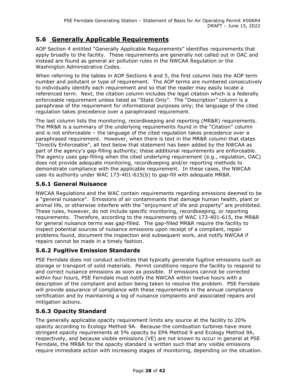## **5.6 Generally Applicable Requirements**

AOP Section 4 entitled "Generally Applicable Requirements" identifies requirements that apply broadly to the facility. These requirements are generally not called out in OAC and instead are found as general air pollution rules in the NWCAA Regulation or the Washington Administrative Codes.

When referring to the tables in AOP Sections 4 and 5, the first column lists the AOP term number and pollutant or type of requirement. The AOP terms are numbered consecutively to individually identify each requirement and so that the reader may easily locate a referenced term. Next, the citation column includes the legal citation which is a federally enforceable requirement unless listed as "State Only". The "Description" column is a paraphrase of the requirement for informational purposes only; the language of the cited regulation takes precedence over a paraphrased requirement.

The last column lists the monitoring, recordkeeping and reporting (MR&R) requirements. The MR&R is a summary of the underlying requirements found in the "Citation" column and is not enforceable – the language of the cited regulation takes precedence over a paraphrased requirement. However, when there is text in the MR&R column that states "Directly Enforceable", all text below that statement has been added by the NWCAA as part of the agency's gap-filling authority; these additional requirements are enforceable. The agency uses gap-filling when the cited underlying requirement (e.g., regulation, OAC) does not provide adequate monitoring, recordkeeping and/or reporting methods to demonstrate compliance with the applicable requirement. In these cases, the NWCAA uses its authority under WAC 173-401-615(b) to gap-fill with adequate MR&R.

#### **5.6.1 General Nuisance**

NWCAA Regulations and the WAC contain requirements regarding emissions deemed to be a "general nuisance". Emissions of air contaminants that damage human health, plant or animal life, or otherwise interfere with the "enjoyment of life and property" are prohibited. These rules, however, do not include specific monitoring, recordkeeping, or reporting requirements. Therefore, according to the requirements of WAC 173-401-615, the MR&R for general nuisance terms was gap-filled. The gap-filled MR&R require the facility to inspect potential sources of nuisance emissions upon receipt of a compliant, repair problems found, document the inspection and subsequent work, and notify NWCAA if repairs cannot be made in a timely fashion.

#### **5.6.2 Fugitive Emission Standards**

PSE Ferndale does not conduct activities that typically generate fugitive emissions such as storage or transport of solid materials. Permit conditions require the facility to respond to and correct nuisance emissions as soon as possible. If emissions cannot be corrected within four hours, PSE Ferndale must notify the NWCAA within twelve hours with a description of the complaint and action being taken to resolve the problem. PSE Ferndale will provide assurance of compliance with these requirements in the annual compliance certification and by maintaining a log of nuisance complaints and associated repairs and mitigation actions.

#### **5.6.3 Opacity Standard**

The generally applicable opacity requirement limits any source at the facility to 20% opacity according to Ecology Method 9A. Because the combustion turbines have more stringent opacity requirements at 5% opacity by EPA Method 9 and Ecology Method 9A, respectively, and because visible emissions (VE) are not known to occur in general at PSE Ferndale, the MR&R for the opacity standard is written such that any visible emissions require immediate action with increasing stages of monitoring, depending on the situation.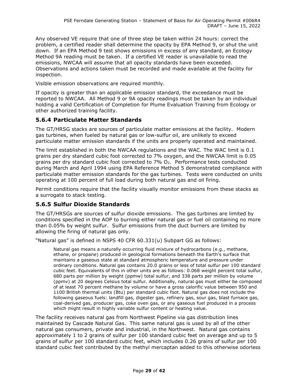Any observed VE require that one of three step be taken within 24 hours: correct the problem, a certified reader shall determine the opacity by EPA Method 9, or shut the unit down. If an EPA Method 9 test shows emissions in excess of any standard, an Ecology Method 9A reading must be taken. If a certified VE reader is unavailable to read the emissions, NWCAA will assume that all opacity standards have been exceeded. Observations and actions taken must be recorded and made available at the facility for inspection.

Visible emission observations are required monthly.

If opacity is greater than an applicable emission standard, the exceedance must be reported to NWCAA. All Method 9 or 9A opacity readings must be taken by an individual holding a valid Certification of Completion for Plume Evaluation Training from Ecology or other authorized training facility.

#### **5.6.4 Particulate Matter Standards**

The GT/HRSG stacks are sources of particulate matter emissions at the facility. Modern gas turbines, when fueled by natural gas or low-sulfur oil, are unlikely to exceed particulate matter emission standards if the units are properly operated and maintained.

The limit established in both the NWCAA regulations and the WAC. The WAC limit is 0.1 grains per dry standard cubic foot corrected to 7% oxygen, and the NWCAA limit is 0.05 grains per dry standard cubic foot corrected to  $7\%$  O<sub>2</sub>. Performance tests conducted during March and April 1994 using EPA Reference Method 5 demonstrated compliance with particulate matter emission standards for the gas turbines. Tests were conducted on units operating at 100 percent of full load during both natural gas and oil firing.

Permit conditions require that the facility visually monitor emissions from these stacks as a surrogate to stack testing.

#### **5.6.5 Sulfur Dioxide Standards**

The GT/HRSGs are sources of sulfur dioxide emissions. The gas turbines are limited by conditions specified in the AOP to burning either natural gas or fuel oil containing no more than 0.05% by weight sulfur. Sulfur emissions from the duct burners are limited by allowing the firing of natural gas only.

"Natural gas" is defined in NSPS 40 CFR 60.331(u) Subpart GG as follows:

Natural gas means a naturally occurring fluid mixture of hydrocarbons (e.g., methane, ethane, or propane) produced in geological formations beneath the Earth's surface that maintains a gaseous state at standard atmospheric temperature and pressure under ordinary conditions. Natural gas contains 20.0 grains or less of total sulfur per 100 standard cubic feet. Equivalents of this in other units are as follows: 0.068 weight percent total sulfur, 680 parts per million by weight (ppmw) total sulfur, and 338 parts per million by volume (ppmv) at 20 degrees Celsius total sulfur. Additionally, natural gas must either be composed of at least 70 percent methane by volume or have a gross calorific value between 950 and 1100 British thermal units (Btu) per standard cubic foot. Natural gas does not include the following gaseous fuels: landfill gas, digester gas, refinery gas, sour gas, blast furnace gas, coal-derived gas, producer gas, coke oven gas, or any gaseous fuel produced in a process which might result in highly variable sulfur content or heating value.

The facility receives natural gas from Northwest Pipeline via gas distribution lines maintained by Cascade Natural Gas. This same natural gas is used by all of the other natural gas consumers, private and industrial, in the Northwest. Natural gas contains approximately 1 to 2 grains of sulfur per 100 standard cubic feet on average and up to 5 grains of sulfur per 100 standard cubic feet, which includes 0.26 grains of sulfur per 100 standard cubic feet contributed by the methyl mercaptan added to this otherwise odorless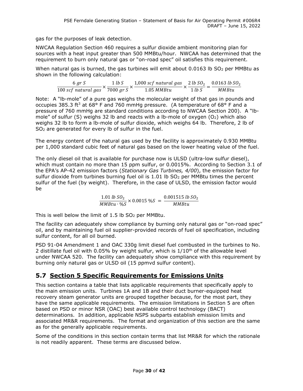gas for the purposes of leak detection.

NWCAA Regulation Section 460 requires a sulfur dioxide ambient monitoring plan for sources with a heat input greater than 500 MMBtu/hour. NWCAA has determined that the requirement to burn only natural gas or "on-road spec" oil satisfies this requirement.

When natural gas is burned, the gas turbines will emit about 0.0163 lb  $SO<sub>2</sub>$  per MMBtu as shown in the following calculation:

$$
\frac{6 \text{ gr S}}{100 \text{ scf natural gas}} \times \frac{1 \text{ lb S}}{7000 \text{ gr S}} \times \frac{1,000 \text{ scf natural gas}}{1.05 \text{ MMBtu}} \times \frac{2 \text{ lb SO}_2}{1 \text{ lb S}} = \frac{0.0163 \text{ lb SO}_2}{\text{ MMBtu}}
$$

Note: A "lb-mole" of a pure gas weighs the molecular weight of that gas in pounds and occupies 385.3 ft<sup>3</sup> at 68° F and 760 mmHg pressure. (A temperature of 68° F and a pressure of 760 mmHg are standard conditions according to NWCAA Section 200). A "lbmole" of sulfur (S) weighs 32 lb and reacts with a lb-mole of oxygen ( $O<sub>2</sub>$ ) which also weighs 32 lb to form a lb-mole of sulfur dioxide, which weighs 64 lb. Therefore, 2 lb of SO2 are generated for every lb of sulfur in the fuel.

The energy content of the natural gas used by the facility is approximately 0.930 MMBtu per 1,000 standard cubic feet of natural gas based on the lower heating value of the fuel.

The only diesel oil that is available for purchase now is ULSD (ultra-low sulfur diesel), which must contain no more than 15 ppm sulfur, or 0.0015%. According to Section 3.1 of the EPA's AP-42 emission factors (*Stationary Gas Turbines, 4/00*), the emission factor for sulfur dioxide from turbines burning fuel oil is 1.01 lb SO<sub>2</sub> per MMBtu times the percent sulfur of the fuel (by weight). Therefore, in the case of ULSD, the emission factor would be

> $1.01$  tb  $SO_2$  $\frac{1.01 \text{ lb } SU_2}{MMBtu \cdot \%S} \times 0.0015 \%S = \frac{0.001515 \text{ lb } SU_2}{MMBtu}$

This is well below the limit of 1.5 lb SO<sub>2</sub> per MMBtu.

The facility can adequately show compliance by burning only natural gas or "on-road spec" oil, and by maintaining fuel oil supplier-provided records of fuel oil specification, including sulfur content, for all oil burned.

PSD 91-04 Amendment 1 and OAC 330g limit diesel fuel combusted in the turbines to No. 2 distillate fuel oil with 0.05% by weight sulfur, which is  $1/10^{th}$  of the allowable level under NWCAA 520. The facility can adequately show compliance with this requirement by burning only natural gas or ULSD oil (15 ppmvd sulfur content).

## **5.7 Section 5 Specific Requirements for Emissions Units**

This section contains a table that lists applicable requirements that specifically apply to the main emission units. Turbines 1A and 1B and their duct burner-equipped heat recovery steam generator units are grouped together because, for the most part, they have the same applicable requirements. The emission limitations in Section 5 are often based on PSD or minor NSR (OAC) best available control technology (BACT) determinations. In addition, applicable NSPS subparts establish emission limits and associated MR&R requirements. The format and organization of this section are the same as for the generally applicable requirements.

Some of the conditions in this section contain terms that list MR&R for which the rationale is not readily apparent. These terms are discussed below.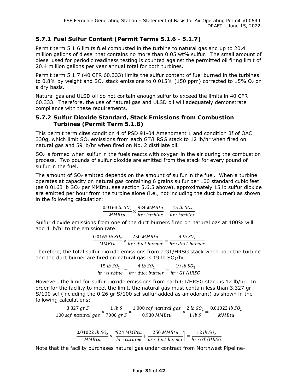#### **5.7.1 Fuel Sulfur Content (Permit Terms 5.1.6 - 5.1.7)**

Permit term 5.1.6 limits fuel combusted in the turbine to natural gas and up to 20.4 million gallons of diesel that contains no more than 0.05 wt% sulfur. The small amount of diesel used for periodic readiness testing is counted against the permitted oil firing limit of 20.4 million gallons per year annual total for both turbines.

Permit term 5.1.7 (40 CFR 60.333) limits the sulfur content of fuel burned in the turbines to 0.8% by weight and  $SO<sub>2</sub>$  stack emissions to 0.015% (150 ppm) corrected to 15%  $O<sub>2</sub>$  on a dry basis.

Natural gas and ULSD oil do not contain enough sulfur to exceed the limits in 40 CFR 60.333. Therefore, the use of natural gas and ULSD oil will adequately demonstrate compliance with these requirements.

#### **5.7.2 Sulfur Dioxide Standard, Stack Emissions from Combustion Turbines (Permit Term 5.1.8)**

This permit term cites condition 4 of PSD 91-04 Amendment 1 and condition 3f of OAC 330g, which limit  $SO<sub>2</sub>$  emissions from each GT/HRSG stack to 12 lb/hr when fired on natural gas and 59 lb/hr when fired on No. 2 distillate oil.

SO<sup>2</sup> is formed when sulfur in the fuels reacts with oxygen in the air during the combustion process. Two pounds of sulfur dioxide are emitted from the stack for every pound of sulfur in the fuel.

The amount of  $SO<sub>2</sub>$  emitted depends on the amount of sulfur in the fuel. When a turbine operates at capacity on natural gas containing 6 grains sulfur per 100 standard cubic feet (as 0.0163 lb  $SO_2$  per MMBtu, see section 5.6.5 above), approximately 15 lb sulfur dioxide are emitted per hour from the turbine alone (i.e., not including the duct burner) as shown in the following calculation:

$$
\frac{0.0163 \, lb \, SO_2}{MMBtu} \times \frac{924 \, MMBtu}{hr \cdot turbine} = \frac{15 \, lb \, SO_2}{hr \cdot turbine}
$$

Sulfur dioxide emissions from one of the duct burners fired on natural gas at 100% will add 4 lb/hr to the emission rate:

$$
\frac{0.0163 \, lb \, SO_2}{MMBtu} \times \frac{250 \, MMBtu}{hr \cdot duct \, burner} = \frac{4 \, lb \, SO_2}{hr \cdot duct \, burner}
$$

Therefore, the total sulfur dioxide emissions from a GT/HRSG stack when both the turbine and the duct burner are fired on natural gas is 19 lb  $SO<sub>2</sub>/hr$ :

$$
\frac{15 \text{ lb } SO_2}{hr \cdot turbine} + \frac{4 \text{ lb } SO_2}{hr \cdot duct \text{ burner}} = \frac{19 \text{ lb } SO_2}{hr \cdot GT/HRSG}
$$

However, the limit for sulfur dioxide emissions from each GT/HRSG stack is 12 lb/hr. In order for the facility to meet the limit, the natural gas must contain less than 3.327 gr S/100 scf (including the 0.26 gr S/100 scf sulfur added as an odorant) as shown in the following calculations:

$$
\frac{3.327\; gr\; S}{100\; scf\; natural\; gas} \times \frac{1\; lb\; S}{7000\; gr\; S} \times \frac{1,000\; scf\; natural\; gas}{0.930\; M M B t u} \times \frac{2\; lb\; SO_2}{1\; lb\; S} = \frac{0.01022\; lb\; SO_2}{M M B t u}
$$

$$
\frac{0.01022 \; lb \; SO_2}{MMBtu} \times \left[\frac{924 \; MMBtu}{hr \cdot turbine} + \frac{250 \; MMBtu}{hr \cdot duct \; burnedr}\right] = \frac{12 \; lb \; SO_2}{hr \cdot GT/HRSG}
$$

Note that the facility purchases natural gas under contract from Northwest Pipeline-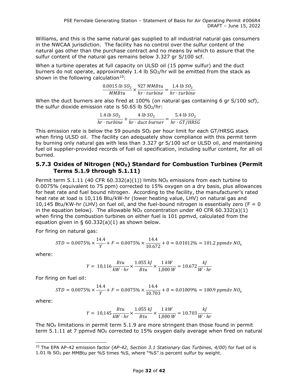Williams, and this is the same natural gas supplied to all industrial natural gas consumers in the NWCAA jurisdiction. The facility has no control over the sulfur content of the natural gas other than the purchase contract and no means by which to assure that the sulfur content of the natural gas remains below 3.327 gr S/100 scf.

When a turbine operates at full capacity on ULSD oil (15 ppmw sulfur) and the duct burners do not operate, approximately 1.4 lb SO2/hr will be emitted from the stack as shown in the following calculation $10$ :

$$
\frac{0.0015 \; lb \; SO_2}{MMBtu} \times \frac{927 \; MMBtu}{hr \cdot turbine} = \frac{1.4 \; lb \; SO_2}{hr \cdot turbine}
$$

When the duct burners are also fired at 100% (on natural gas containing 6 gr S/100 scf), the sulfur dioxide emission rate is  $50.65$  lb  $SO<sub>2</sub>/hr$ :

$$
\frac{1.4 \text{ lb } SO_2}{hr \cdot turbine} + \frac{4 \text{ lb } SO_2}{hr \cdot duct \text{ burner}} = \frac{5.4 \text{ lb } SO_2}{hr \cdot GT/HRSG}
$$

This emission rate is below the 59 pounds  $SO<sub>2</sub>$  per hour limit for each GT/HRSG stack when firing ULSD oil. The facility can adequately show compliance with this permit term by burning only natural gas with less than 3.327 gr S/100 scf or ULSD oil, and maintaining fuel oil supplier-provided records of fuel oil specification, including sulfur content, for all oil burned.

#### **5.7.3 Oxides of Nitrogen (NO<sub>X</sub>) Standard for Combustion Turbines (Permit Terms 5.1.9 through 5.1.11)**

Permit term 5.1.11 (40 CFR 60.332(a)(1)) limits  $NO<sub>x</sub>$  emissions from each turbine to 0.0075% (equivalent to 75 ppm) corrected to 15% oxygen on a dry basis, plus allowances for heat rate and fuel bound nitrogen. According to the facility, the manufacturer's rated heat rate at load is 10,116 Btu/kW-hr (lower heating value, LHV) on natural gas and 10,145 Btu/KW-hr (LHV) on fuel oil, and the fuel-bound nitrogen is essentially zero (F = 0 in the equation below). The allowable  $N_{\text{Ox}}$  concentration under 40 CFR 60.332(a)(1) when firing the combustion turbines on either fuel is 101 ppmvd, calculated from the equation given in §  $60.332(a)(1)$  as shown below.

For firing on natural gas:

$$
STD = 0.0075\% \times \frac{14.4}{Y} + F = 0.0075\% \times \frac{14.4}{10.672} + 0 \approx 0.01012\% = 101.2 ppmdv\ NO_x
$$

where:

$$
Y = 10,116 \frac{Btu}{kW \cdot hr} \times \frac{1.055 \, kJ}{Btu} \times \frac{1 \, kW}{1,000 \, W} = 10.672 \frac{kJ}{W \cdot hr}
$$

For firing on fuel oil:

$$
STD = 0.0075\% \times \frac{14.4}{Y} + F = 0.0075\% \times \frac{14.4}{10.703} + 0 \approx 0.01009\% = 100.9 \text{ ppmdv } NO_x
$$

where:

$$
Y = 10,145 \frac{Btu}{kW \cdot hr} \times \frac{1.055 \, kJ}{Btu} \times \frac{1 \, kW}{1,000 \, W} = 10.703 \frac{kJ}{W \cdot hr}
$$

The  $NO<sub>x</sub>$  limitations in permit term 5.1.9 are more stringent than those found in permit term  $5.1.11$  at 7 ppmvd NO<sub>x</sub> corrected to 15% oxygen daily average when fired on natural

<span id="page-35-0"></span><sup>10</sup> The EPA AP-42 emission factor (*AP-42, Section 3.1 Stationary Gas Turbines, 4/00*) for fuel oil is 1.01 lb SO2 per MMBtu per %S times %S, where "%S" is percent sulfur by weight.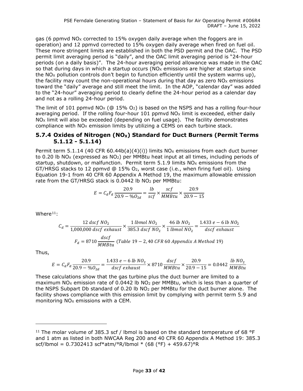gas (6 ppmyd NO<sub>X</sub> corrected to 15% oxygen daily average when the foggers are in operation) and 12 ppmvd corrected to 15% oxygen daily average when fired on fuel oil. These more stringent limits are established in both the PSD permit and the OAC. The PSD permit limit averaging period is "daily", and the OAC limit averaging period is "24-hour periods (on a daily basis)". The 24-hour averaging period allowance was made in the OAC so that during days in which a startup occurs ( $NO<sub>X</sub>$  emissions are higher at startup since the  $NO<sub>X</sub>$  pollution controls don't begin to function efficiently until the system warms up), the facility may count the non-operational hours during that day as zero  $NO<sub>x</sub>$  emissions toward the "daily" average and still meet the limit. In the AOP, "calendar day" was added to the "24-hour" averaging period to clearly define the 24-hour period as a calendar day and not as a rolling 24-hour period.

The limit of 101 ppmvd NO<sub>x</sub> ( $\textcircled{a}$  15% O<sub>2</sub>) is based on the NSPS and has a rolling four-hour averaging period. If the rolling four-hour 101 ppmvd  $NO<sub>x</sub>$  limit is exceeded, either daily  $NO<sub>x</sub>$  limit will also be exceeded (depending on fuel usage). The facility demonstrates compliance with  $NO<sub>X</sub>$  emission limits by utilizing a CEMS on each turbine stack.

#### **5.7.4 Oxides of Nitrogen (NO<sub>X</sub>) Standard for Duct Burners (Permit Terms 5.1.12 - 5.1.14)**

Permit term 5.1.14 (40 CFR 60.44b(a)(4)(i)) limits  $NO<sub>x</sub>$  emissions from each duct burner to 0.20 lb NO<sub>x</sub> (expressed as NO<sub>2</sub>) per MMBtu heat input at all times, including periods of startup, shutdown, or malfunction. Permit term  $5.1.9$  limits  $NO<sub>x</sub>$  emissions from the GT/HRSG stacks to 12 ppmvd @ 15%  $O_2$ , worst case (i.e., when firing fuel oil). Using Equation 19-1 from 40 CFR 60 Appendix A Method 19, the maximum allowable emission rate from the GT/HRSG stack is 0.0442 lb NO<sub>2</sub> per MMBtu:

$$
E = C_d F_d \frac{20.9}{20.9 - \%0_{2d}} = \frac{lb}{scf} \times \frac{scf}{MMBtu} \times \frac{20.9}{20.9 - 15}
$$

Where $11$ :

$$
C_d = \frac{12 \, dscf \, NO_2}{1,000,000 \, dscf \, exhaust} \times \frac{1 \, lbmol \, NO_2}{385.3 \, dscf \, NO_2} \times \frac{46 \, lb \, NO_2}{1 \, lbmol \, NO_2} = \frac{1.433 \, e - 6 \, lb \, NO_2}{dscf \, exhaust}
$$
\n
$$
F_d = 8710 \frac{dscf}{MMBtu} \, (Table \, 19 - 2,40 \, CFR \, 60 \, Appendix \, A \, Method \, 19)
$$

Thus,

$$
E = C_d F_d \frac{20.9}{20.9 - %0_{2d}} = \frac{1.433 e - 6 lb N O_2}{dscf \; exhaust} \times 8710 \frac{dscf}{MMBtu} \times \frac{20.9}{20.9 - 15} = 0.0442 \; \frac{lb N O_2}{MMBtu}
$$

These calculations show that the gas turbine plus the duct burner are limited to a maximum  $NO<sub>X</sub>$  emission rate of 0.0442 lb  $NO<sub>2</sub>$  per MMBtu, which is less than a quarter of the NSPS Subpart Db standard of 0.20 lb NO2 per MMBtu for the duct burner alone. The facility shows compliance with this emission limit by complying with permit term 5.9 and monitoring  $NO<sub>x</sub>$  emissions with a CEM.

<span id="page-36-0"></span><sup>&</sup>lt;sup>11</sup> The molar volume of 385.3 scf / lbmol is based on the standard temperature of 68 °F and 1 atm as listed in both NWCAA Reg 200 and 40 CFR 60 Appendix A Method 19: 385.3 scf/lbmol = 0.7302413 scf\*atm/°R/lbmol \* (68 (°F) + 459.67)°R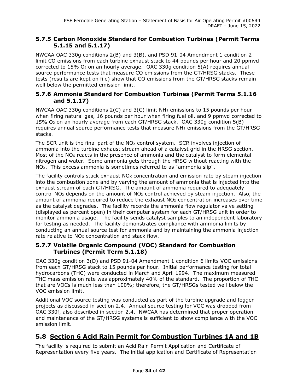#### **5.7.5 Carbon Monoxide Standard for Combustion Turbines (Permit Terms 5.1.15 and 5.1.17)**

NWCAA OAC 330g conditions 2(B) and 3(B), and PSD 91-04 Amendment 1 condition 2 limit CO emissions from each turbine exhaust stack to 44 pounds per hour and 20 ppmvd corrected to  $15\%$  O<sub>2</sub> on an hourly average. OAC 330g condition  $5(A)$  requires annual source performance tests that measure CO emissions from the GT/HRSG stacks. These tests (results are kept on file) show that CO emissions from the GT/HRSG stacks remain well below the permitted emission limit.

#### **5.7.6 Ammonia Standard for Combustion Turbines (Permit Terms 5.1.16 and 5.1.17)**

NWCAA OAC 330g conditions  $2(C)$  and  $3(C)$  limit NH<sub>3</sub> emissions to 15 pounds per hour when firing natural gas, 16 pounds per hour when firing fuel oil, and 9 ppmvd corrected to 15% O2 on an hourly average from each GT/HRSG stack. OAC 330g condition 5(B) requires annual source performance tests that measure NH3 emissions from the GT/HRSG stacks.

The SCR unit is the final part of the  $NO<sub>X</sub>$  control system. SCR involves injection of ammonia into the turbine exhaust stream ahead of a catalyst grid in the HRSG section. Most of the  $NO<sub>X</sub>$  reacts in the presence of ammonia and the catalyst to form elemental nitrogen and water. Some ammonia gets through the HRSG without reacting with the NO<sub>x</sub>. This excess ammonia is sometimes referred to as "ammonia slip".

The facility controls stack exhaust  $NO<sub>X</sub>$  concentration and emission rate by steam injection into the combustion zone and by varying the amount of ammonia that is injected into the exhaust stream of each GT/HRSG. The amount of ammonia required to adequately control NO<sub>x</sub> depends on the amount of NO<sub>x</sub> control achieved by steam injection. Also, the amount of ammonia required to reduce the exhaust  $NO<sub>X</sub>$  concentration increases over time as the catalyst degrades. The facility records the ammonia flow regulator valve setting (displayed as percent open) in their computer system for each GT/HRSG unit in order to monitor ammonia usage. The facility sends catalyst samples to an independent laboratory for testing as needed. The facility demonstrates compliance with ammonia limits by conducting an annual source test for ammonia and by maintaining the ammonia injection rate relative to  $NO<sub>x</sub>$  concentration and stack flow.

#### **5.7.7 Volatile Organic Compound (VOC) Standard for Combustion Turbines (Permit Term 5.1.18)**

OAC 330g condition 3(D) and PSD 91-04 Amendment 1 condition 6 limits VOC emissions from each GT/HRSG stack to 15 pounds per hour. Initial performance testing for total hydrocarbons (THC) were conducted in March and April 1994. The maximum measured THC mass emission rate was approximately 40% of the standard. The proportion of THC that are VOCs is much less than 100%; therefore, the GT/HRSGs tested well below the VOC emission limit.

Additional VOC source testing was conducted as part of the turbine upgrade and fogger projects as discussed in section [2.4.](#page-12-0) Annual source testing for VOC was dropped from OAC 330f, also described in section [2.4.](#page-12-0) NWCAA has determined that proper operation and maintenance of the GT/HRSG systems is sufficient to show compliance with the VOC emission limit.

## **5.8 Section 6 Acid Rain Permit for Combustion Turbines 1A and 1B**

The facility is required to submit an Acid Rain Permit Application and Certificate of Representation every five years. The initial application and Certificate of Representation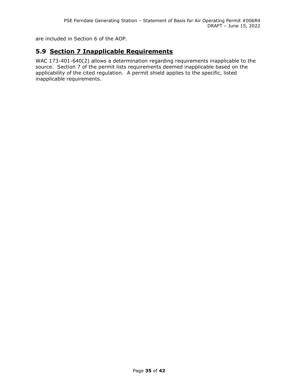are included in Section 6 of the AOP.

## **5.9 Section 7 Inapplicable Requirements**

WAC 173-401-640(2) allows a determination regarding requirements inapplicable to the source. Section 7 of the permit lists requirements deemed inapplicable based on the applicability of the cited regulation. A permit shield applies to the specific, listed inapplicable requirements.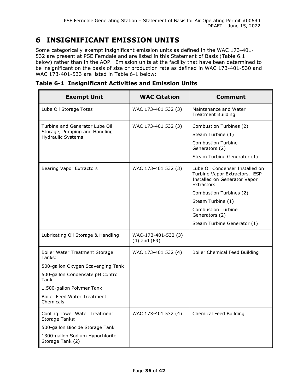## **6 INSIGNIFICANT EMISSION UNITS**

Some categorically exempt insignificant emission units as defined in the WAC 173-401- 532 are present at PSE Ferndale and are listed in this Statement of Basis (Table 6.1 below) rather than in the AOP. Emission units at the facility that have been determined to be insignificant on the basis of size or production rate as defined in WAC 173-401-530 and WAC 173-401-533 are listed in Table 6-1 below:

| <b>Exempt Unit</b>                                                                                                                                                                                 | <b>WAC Citation</b>                     | Comment                                                                                                                                                                                                                                       |
|----------------------------------------------------------------------------------------------------------------------------------------------------------------------------------------------------|-----------------------------------------|-----------------------------------------------------------------------------------------------------------------------------------------------------------------------------------------------------------------------------------------------|
| Lube Oil Storage Totes                                                                                                                                                                             | WAC 173-401 532 (3)                     | Maintenance and Water<br><b>Treatment Building</b>                                                                                                                                                                                            |
| Turbine and Generator Lube Oil<br>Storage, Pumping and Handling<br><b>Hydraulic Systems</b>                                                                                                        | WAC 173-401 532 (3)                     | Combustion Turbines (2)<br>Steam Turbine (1)<br><b>Combustion Turbine</b><br>Generators (2)<br>Steam Turbine Generator (1)                                                                                                                    |
| <b>Bearing Vapor Extractors</b>                                                                                                                                                                    | WAC 173-401 532 (3)                     | Lube Oil Condenser Installed on<br>Turbine Vapor Extractors. ESP<br>Installed on Generator Vapor<br>Extractors.<br>Combustion Turbines (2)<br>Steam Turbine (1)<br><b>Combustion Turbine</b><br>Generators (2)<br>Steam Turbine Generator (1) |
| Lubricating Oil Storage & Handling                                                                                                                                                                 | WAC-173-401-532 (3)<br>$(4)$ and $(69)$ |                                                                                                                                                                                                                                               |
| Boiler Water Treatment Storage<br>Tanks:<br>500-gallon Oxygen Scavenging Tank<br>500-gallon Condensate pH Control<br>Tank<br>1,500-gallon Polymer Tank<br>Boiler Feed Water Treatment<br>Chemicals | WAC 173-401 532 (4)                     | Boiler Chemical Feed Building                                                                                                                                                                                                                 |
| Cooling Tower Water Treatment<br>Storage Tanks:<br>500-gallon Biocide Storage Tank<br>1300-gallon Sodium Hypochlorite<br>Storage Tank (2)                                                          | WAC 173-401 532 (4)                     | Chemical Feed Building                                                                                                                                                                                                                        |

**Table 6-1 Insignificant Activities and Emission Units**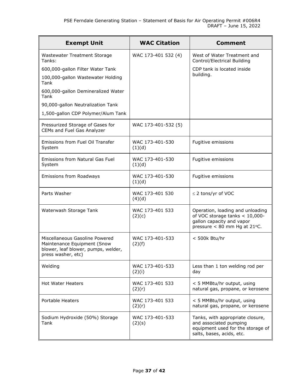| <b>Exempt Unit</b>                                                                                                         | <b>WAC Citation</b>       | <b>Comment</b>                                                                                                                  |
|----------------------------------------------------------------------------------------------------------------------------|---------------------------|---------------------------------------------------------------------------------------------------------------------------------|
| Wastewater Treatment Storage<br>Tanks:                                                                                     | WAC 173-401 532 (4)       | West of Water Treatment and<br>Control/Electrical Building                                                                      |
| 600,000-gallon Filter Water Tank                                                                                           |                           | CDP tank is located inside                                                                                                      |
| 100,000-gallon Wastewater Holding<br>Tank                                                                                  |                           | building.                                                                                                                       |
| 600,000-gallon Demineralized Water<br>Tank                                                                                 |                           |                                                                                                                                 |
| 90,000-gallon Neutralization Tank                                                                                          |                           |                                                                                                                                 |
| 1,500-gallon CDP Polymer/Alum Tank                                                                                         |                           |                                                                                                                                 |
| Pressurized Storage of Gases for<br>CEMs and Fuel Gas Analyzer                                                             | WAC 173-401-532 (5)       |                                                                                                                                 |
| Emissions from Fuel Oil Transfer<br>System                                                                                 | WAC 173-401-530<br>(1)(d) | Fugitive emissions                                                                                                              |
| Emissions from Natural Gas Fuel<br>System                                                                                  | WAC 173-401-530<br>(1)(d) | Fugitive emissions                                                                                                              |
| Emissions from Roadways                                                                                                    | WAC 173-401-530<br>(1)(d) | Fugitive emissions                                                                                                              |
| Parts Washer                                                                                                               | WAC 173-401 530<br>(4)(d) | $\leq$ 2 tons/yr of VOC                                                                                                         |
| Waterwash Storage Tank                                                                                                     | WAC 173-401 533<br>(2)(c) | Operation, loading and unloading<br>of VOC storage tanks < 10,000-<br>gallon capacity and vapor<br>pressure < 80 mm Hg at 21°C. |
| Miscellaneous Gasoline Powered<br>Maintenance Equipment (Snow<br>blower, leaf blower, pumps, welder,<br>press washer, etc) | WAC 173-401-533<br>(2)(f) | < 500k Btu/hr                                                                                                                   |
| Welding                                                                                                                    | WAC 173-401-533<br>(2)(i) | Less than 1 ton welding rod per<br>day                                                                                          |
| <b>Hot Water Heaters</b>                                                                                                   | WAC 173-401 533<br>(2)(r) | < 5 MMBtu/hr output, using<br>natural gas, propane, or kerosene                                                                 |
| <b>Portable Heaters</b>                                                                                                    | WAC 173-401 533<br>(2)(r) | < 5 MMBtu/hr output, using<br>natural gas, propane, or kerosene                                                                 |
| Sodium Hydroxide (50%) Storage<br>Tank                                                                                     | WAC 173-401-533<br>(2)(s) | Tanks, with appropriate closure,<br>and associated pumping<br>equipment used for the storage of<br>salts, bases, acids, etc.    |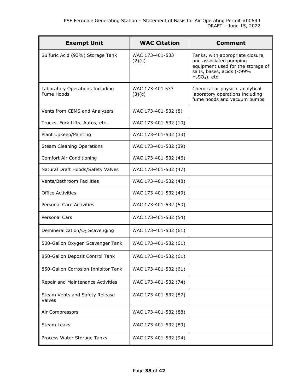| <b>Exempt Unit</b>                            | <b>WAC Citation</b>       | <b>Comment</b>                                                                                                                                  |
|-----------------------------------------------|---------------------------|-------------------------------------------------------------------------------------------------------------------------------------------------|
| Sulfuric Acid (93%) Storage Tank              | WAC 173-401-533<br>(2)(s) | Tanks, with appropriate closure,<br>and associated pumping<br>equipment used for the storage of<br>salts, bases, acids (<99%<br>$H2SO4$ ), etc. |
| Laboratory Operations Including<br>Fume Hoods | WAC 173-401 533<br>(3)(c) | Chemical or physical analytical<br>laboratory operations including<br>fume hoods and vacuum pumps                                               |
| Vents from CEMS and Analyzers                 | WAC 173-401-532 (8)       |                                                                                                                                                 |
| Trucks, Fork Lifts, Autos, etc.               | WAC 173-401-532 (10)      |                                                                                                                                                 |
| Plant Upkeep/Painting                         | WAC 173-401-532 (33)      |                                                                                                                                                 |
| <b>Steam Cleaning Operations</b>              | WAC 173-401-532 (39)      |                                                                                                                                                 |
| Comfort Air Conditioning                      | WAC 173-401-532 (46)      |                                                                                                                                                 |
| Natural Draft Hoods/Safety Valves             | WAC 173-401-532 (47)      |                                                                                                                                                 |
| Vents/Bathroom Facilities                     | WAC 173-401-532 (48)      |                                                                                                                                                 |
| <b>Office Activities</b>                      | WAC 173-401-532 (49)      |                                                                                                                                                 |
| Personal Care Activities                      | WAC 173-401-532 (50)      |                                                                                                                                                 |
| Personal Cars                                 | WAC 173-401-532 (54)      |                                                                                                                                                 |
| Demineralization/O <sub>2</sub> Scavenging    | WAC 173-401-532 (61)      |                                                                                                                                                 |
| 500-Gallon Oxygen Scavenger Tank              | WAC 173-401-532 (61)      |                                                                                                                                                 |
| 850-Gallon Deposit Control Tank               | WAC 173-401-532 (61)      |                                                                                                                                                 |
| 850-Gallon Corrosion Inhibitor Tank           | WAC 173-401-532 (61)      |                                                                                                                                                 |
| Repair and Maintenance Activities             | WAC 173-401-532 (74)      |                                                                                                                                                 |
| Steam Vents and Safety Release<br>Valves      | WAC 173-401-532 (87)      |                                                                                                                                                 |
| Air Compressors                               | WAC 173-401-532 (88)      |                                                                                                                                                 |
| <b>Steam Leaks</b>                            | WAC 173-401-532 (89)      |                                                                                                                                                 |
| Process Water Storage Tanks                   | WAC 173-401-532 (94)      |                                                                                                                                                 |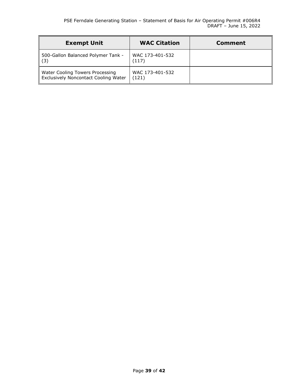| <b>Exempt Unit</b>                                                      | <b>WAC Citation</b>      | Comment |
|-------------------------------------------------------------------------|--------------------------|---------|
| 500-Gallon Balanced Polymer Tank -<br>ll (3)                            | WAC 173-401-532<br>(117) |         |
| Water Cooling Towers Processing<br>Exclusively Noncontact Cooling Water | WAC 173-401-532<br>(121) |         |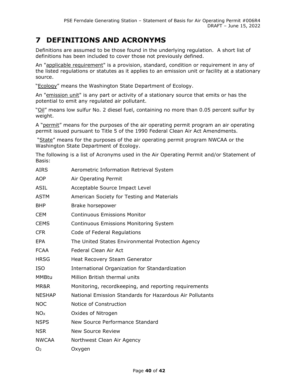## **7 DEFINITIONS AND ACRONYMS**

Definitions are assumed to be those found in the underlying regulation. A short list of definitions has been included to cover those not previously defined.

An "applicable requirement" is a provision, standard, condition or requirement in any of the listed regulations or statutes as it applies to an emission unit or facility at a stationary source.

"Ecology" means the Washington State Department of Ecology.

An "emission unit" is any part or activity of a stationary source that emits or has the potential to emit any regulated air pollutant.

"Oil" means low sulfur No. 2 diesel fuel, containing no more than 0.05 percent sulfur by weight.

A "permit" means for the purposes of the air operating permit program an air operating permit issued pursuant to Title 5 of the 1990 Federal Clean Air Act Amendments.

"State" means for the purposes of the air operating permit program NWCAA or the Washington State Department of Ecology.

The following is a list of Acronyms used in the Air Operating Permit and/or Statement of Basis:

| <b>AIRS</b>     | Aerometric Information Retrieval System                  |
|-----------------|----------------------------------------------------------|
| <b>AOP</b>      | Air Operating Permit                                     |
| <b>ASIL</b>     | Acceptable Source Impact Level                           |
| <b>ASTM</b>     | American Society for Testing and Materials               |
| <b>BHP</b>      | Brake horsepower                                         |
| <b>CEM</b>      | <b>Continuous Emissions Monitor</b>                      |
| <b>CEMS</b>     | <b>Continuous Emissions Monitoring System</b>            |
| <b>CFR</b>      | Code of Federal Regulations                              |
| <b>EPA</b>      | The United States Environmental Protection Agency        |
| <b>FCAA</b>     | Federal Clean Air Act                                    |
| <b>HRSG</b>     | Heat Recovery Steam Generator                            |
| <b>ISO</b>      | International Organization for Standardization           |
| <b>MMBtu</b>    | Million British thermal units                            |
| MR&R            | Monitoring, recordkeeping, and reporting requirements    |
| <b>NESHAP</b>   | National Emission Standards for Hazardous Air Pollutants |
| <b>NOC</b>      | Notice of Construction                                   |
| NO <sub>x</sub> | Oxides of Nitrogen                                       |
| <b>NSPS</b>     | New Source Performance Standard                          |
| <b>NSR</b>      | <b>New Source Review</b>                                 |
| <b>NWCAA</b>    | Northwest Clean Air Agency                               |
| O <sub>2</sub>  | Oxygen                                                   |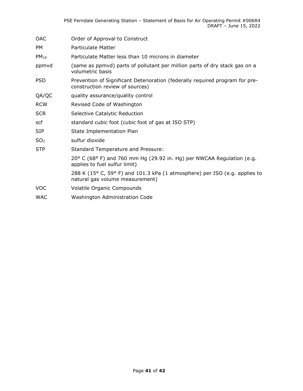| OAC             | Order of Approval to Construct                                                                                  |
|-----------------|-----------------------------------------------------------------------------------------------------------------|
| PM              | Particulate Matter                                                                                              |
| $PM_{10}$       | Particulate Matter less than 10 microns in diameter                                                             |
| ppmvd           | (same as ppmvd) parts of pollutant per million parts of dry stack gas on a<br>volumetric basis                  |
| <b>PSD</b>      | Prevention of Significant Deterioration (federally required program for pre-<br>construction review of sources) |
| QA/QC           | quality assurance/quality control                                                                               |
| <b>RCW</b>      | Revised Code of Washington                                                                                      |
| <b>SCR</b>      | Selective Catalytic Reduction                                                                                   |
| scf             | standard cubic foot (cubic foot of gas at ISO STP)                                                              |
| <b>SIP</b>      | State Implementation Plan                                                                                       |
| SO <sub>2</sub> | sulfur dioxide                                                                                                  |
| <b>STP</b>      | Standard Temperature and Pressure:                                                                              |
|                 | $20^{\circ}$ C (68° F) and 760 mm Hg (29.92 in. Hg) per NWCAA Regulation (e.g.<br>applies to fuel sulfur limit) |
|                 | 288 K (15° C, 59° F) and 101.3 kPa (1 atmosphere) per ISO (e.g. applies to<br>natural gas volume measurement)   |
| <b>VOC</b>      | Volatile Organic Compounds                                                                                      |
| <b>WAC</b>      | Washington Administration Code                                                                                  |